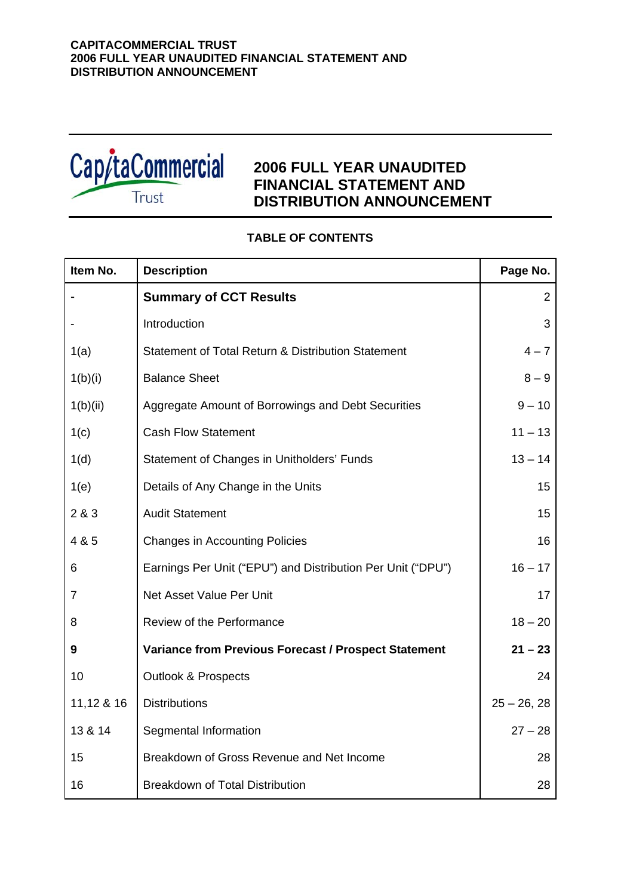

# **2006 FULL YEAR UNAUDITED FINANCIAL STATEMENT AND DISTRIBUTION ANNOUNCEMENT**

# **TABLE OF CONTENTS**

| Item No.       | <b>Description</b>                                          | Page No.      |
|----------------|-------------------------------------------------------------|---------------|
|                | <b>Summary of CCT Results</b>                               | 2             |
|                | Introduction                                                | 3             |
| 1(a)           | Statement of Total Return & Distribution Statement          | $4 - 7$       |
| 1(b)(i)        | <b>Balance Sheet</b>                                        | $8 - 9$       |
| 1(b)(ii)       | Aggregate Amount of Borrowings and Debt Securities          | $9 - 10$      |
| 1(c)           | <b>Cash Flow Statement</b>                                  | $11 - 13$     |
| 1(d)           | Statement of Changes in Unitholders' Funds                  | $13 - 14$     |
| 1(e)           | Details of Any Change in the Units                          | 15            |
| 2 & 3          | <b>Audit Statement</b>                                      | 15            |
| 4 & 5          | <b>Changes in Accounting Policies</b>                       | 16            |
| 6              | Earnings Per Unit ("EPU") and Distribution Per Unit ("DPU") | $16 - 17$     |
| $\overline{7}$ | Net Asset Value Per Unit                                    | 17            |
| 8              | Review of the Performance                                   | $18 - 20$     |
| 9              | <b>Variance from Previous Forecast / Prospect Statement</b> | $21 - 23$     |
| 10             | <b>Outlook &amp; Prospects</b>                              | 24            |
| 11,12 & 16     | <b>Distributions</b>                                        | $25 - 26, 28$ |
| 13 & 14        | Segmental Information                                       | $27 - 28$     |
| 15             | Breakdown of Gross Revenue and Net Income                   | 28            |
| 16             | <b>Breakdown of Total Distribution</b>                      | 28            |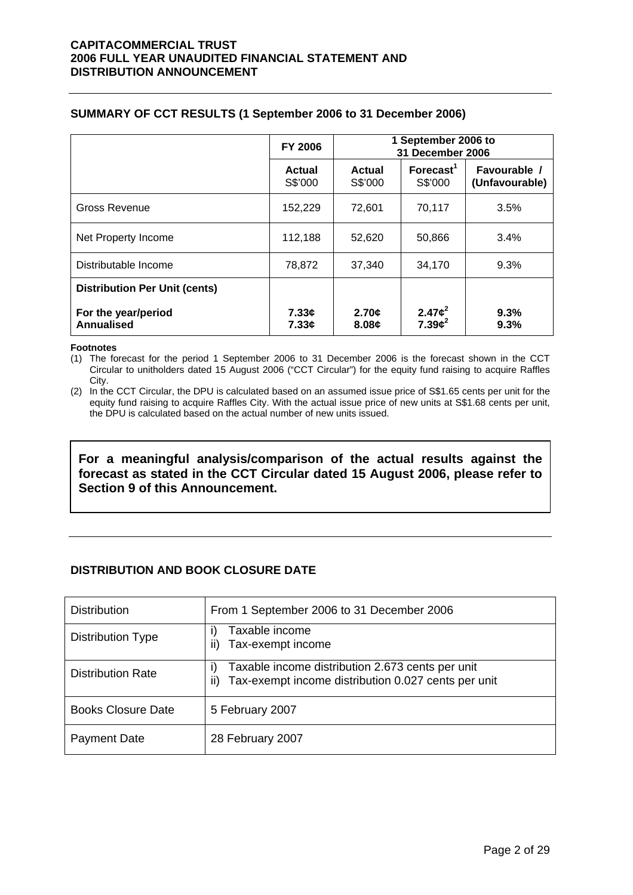## **SUMMARY OF CCT RESULTS (1 September 2006 to 31 December 2006)**

|                                          | <b>FY 2006</b>    | 1 September 2006 to<br>31 December 2006 |                                  |                                |  |
|------------------------------------------|-------------------|-----------------------------------------|----------------------------------|--------------------------------|--|
|                                          | Actual<br>S\$'000 | Actual<br>S\$'000                       | Forecast <sup>1</sup><br>S\$'000 | Favourable /<br>(Unfavourable) |  |
| <b>Gross Revenue</b>                     | 152,229           | 72.601                                  | 70,117                           | 3.5%                           |  |
| Net Property Income                      | 112,188           | 52,620                                  | 50,866                           | 3.4%                           |  |
| Distributable Income                     | 78,872            | 37,340                                  | 34,170                           | 9.3%                           |  |
| <b>Distribution Per Unit (cents)</b>     |                   |                                         |                                  |                                |  |
| For the year/period<br><b>Annualised</b> | 7.33c<br>7.33c    | 2.70¢<br>8.08c                          | 2.47 $c^2$<br>$7.39c^2$          | 9.3%<br>9.3%                   |  |

#### **Footnotes**

(1) The forecast for the period 1 September 2006 to 31 December 2006 is the forecast shown in the CCT Circular to unitholders dated 15 August 2006 ("CCT Circular") for the equity fund raising to acquire Raffles City.

(2) In the CCT Circular, the DPU is calculated based on an assumed issue price of S\$1.65 cents per unit for the equity fund raising to acquire Raffles City. With the actual issue price of new units at S\$1.68 cents per unit, the DPU is calculated based on the actual number of new units issued.

**For a meaningful analysis/comparison of the actual results against the forecast as stated in the CCT Circular dated 15 August 2006, please refer to Section 9 of this Announcement.** 

# **DISTRIBUTION AND BOOK CLOSURE DATE**

| <b>Distribution</b>       | From 1 September 2006 to 31 December 2006                                                                                 |
|---------------------------|---------------------------------------------------------------------------------------------------------------------------|
| <b>Distribution Type</b>  | Taxable income<br>I)<br>ii)<br>Tax-exempt income                                                                          |
| <b>Distribution Rate</b>  | Taxable income distribution 2.673 cents per unit<br>$\vert$<br>Tax-exempt income distribution 0.027 cents per unit<br>ii) |
| <b>Books Closure Date</b> | 5 February 2007                                                                                                           |
| <b>Payment Date</b>       | 28 February 2007                                                                                                          |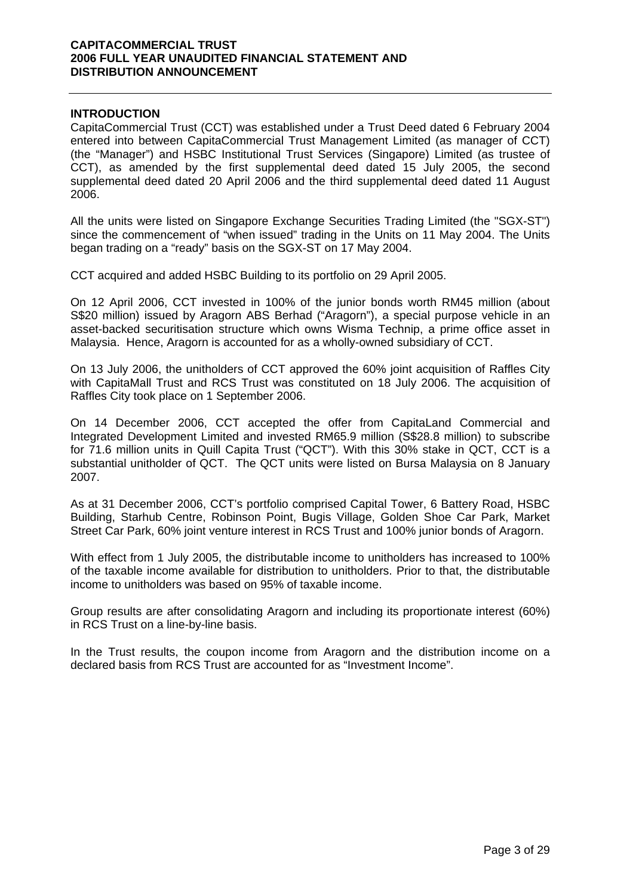## **INTRODUCTION**

CapitaCommercial Trust (CCT) was established under a Trust Deed dated 6 February 2004 entered into between CapitaCommercial Trust Management Limited (as manager of CCT) (the "Manager") and HSBC Institutional Trust Services (Singapore) Limited (as trustee of CCT), as amended by the first supplemental deed dated 15 July 2005, the second supplemental deed dated 20 April 2006 and the third supplemental deed dated 11 August 2006.

All the units were listed on Singapore Exchange Securities Trading Limited (the "SGX-ST") since the commencement of "when issued" trading in the Units on 11 May 2004. The Units began trading on a "ready" basis on the SGX-ST on 17 May 2004.

CCT acquired and added HSBC Building to its portfolio on 29 April 2005.

On 12 April 2006, CCT invested in 100% of the junior bonds worth RM45 million (about S\$20 million) issued by Aragorn ABS Berhad ("Aragorn"), a special purpose vehicle in an asset-backed securitisation structure which owns Wisma Technip, a prime office asset in Malaysia. Hence, Aragorn is accounted for as a wholly-owned subsidiary of CCT.

On 13 July 2006, the unitholders of CCT approved the 60% joint acquisition of Raffles City with CapitaMall Trust and RCS Trust was constituted on 18 July 2006. The acquisition of Raffles City took place on 1 September 2006.

On 14 December 2006, CCT accepted the offer from CapitaLand Commercial and Integrated Development Limited and invested RM65.9 million (S\$28.8 million) to subscribe for 71.6 million units in Quill Capita Trust ("QCT"). With this 30% stake in QCT, CCT is a substantial unitholder of QCT. The QCT units were listed on Bursa Malaysia on 8 January 2007.

As at 31 December 2006, CCT's portfolio comprised Capital Tower, 6 Battery Road, HSBC Building, Starhub Centre, Robinson Point, Bugis Village, Golden Shoe Car Park, Market Street Car Park, 60% joint venture interest in RCS Trust and 100% junior bonds of Aragorn.

With effect from 1 July 2005, the distributable income to unitholders has increased to 100% of the taxable income available for distribution to unitholders. Prior to that, the distributable income to unitholders was based on 95% of taxable income.

Group results are after consolidating Aragorn and including its proportionate interest (60%) in RCS Trust on a line-by-line basis.

In the Trust results, the coupon income from Aragorn and the distribution income on a declared basis from RCS Trust are accounted for as "Investment Income".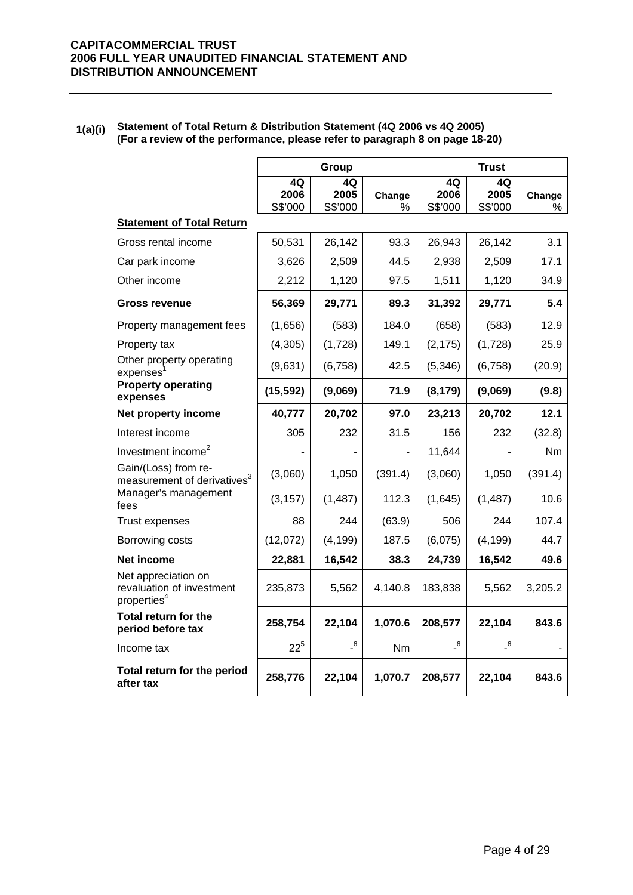## **1(a)(i) Statement of Total Return & Distribution Statement (4Q 2006 vs 4Q 2005) (For a review of the performance, please refer to paragraph 8 on page 18-20)**

|                                                                             |                       | Group                      |             |                            | <b>Trust</b>               |             |
|-----------------------------------------------------------------------------|-----------------------|----------------------------|-------------|----------------------------|----------------------------|-------------|
|                                                                             | 4Q<br>2006<br>S\$'000 | 4Q<br>2005<br>S\$'000      | Change<br>% | 4Q<br>2006<br>S\$'000      | 4Q<br>2005<br>S\$'000      | Change<br>℅ |
| <b>Statement of Total Return</b>                                            |                       |                            |             |                            |                            |             |
| Gross rental income                                                         | 50,531                | 26,142                     | 93.3        | 26,943                     | 26,142                     | 3.1         |
| Car park income                                                             | 3,626                 | 2,509                      | 44.5        | 2,938                      | 2,509                      | 17.1        |
| Other income                                                                | 2,212                 | 1,120                      | 97.5        | 1,511                      | 1,120                      | 34.9        |
| <b>Gross revenue</b>                                                        | 56,369                | 29,771                     | 89.3        | 31,392                     | 29,771                     | 5.4         |
| Property management fees                                                    | (1,656)               | (583)                      | 184.0       | (658)                      | (583)                      | 12.9        |
| Property tax                                                                | (4,305)               | (1,728)                    | 149.1       | (2, 175)                   | (1,728)                    | 25.9        |
| Other property operating<br>expenses <sup>1</sup>                           | (9,631)               | (6, 758)                   | 42.5        | (5, 346)                   | (6, 758)                   | (20.9)      |
| <b>Property operating</b><br>expenses                                       | (15, 592)             | (9,069)                    | 71.9        | (8, 179)                   | (9,069)                    | (9.8)       |
| Net property income                                                         | 40,777                | 20,702                     | 97.0        | 23,213                     | 20,702                     | 12.1        |
| Interest income                                                             | 305                   | 232                        | 31.5        | 156                        | 232                        | (32.8)      |
| Investment income <sup>2</sup>                                              |                       |                            |             | 11,644                     |                            | Nm          |
| Gain/(Loss) from re-<br>measurement of derivatives <sup>3</sup>             | (3,060)               | 1,050                      | (391.4)     | (3,060)                    | 1,050                      | (391.4)     |
| Manager's management<br>fees                                                | (3, 157)              | (1, 487)                   | 112.3       | (1,645)                    | (1, 487)                   | 10.6        |
| Trust expenses                                                              | 88                    | 244                        | (63.9)      | 506                        | 244                        | 107.4       |
| Borrowing costs                                                             | (12,072)              | (4, 199)                   | 187.5       | (6,075)                    | (4, 199)                   | 44.7        |
| Net income                                                                  | 22,881                | 16,542                     | 38.3        | 24,739                     | 16,542                     | 49.6        |
| Net appreciation on<br>revaluation of investment<br>properties <sup>4</sup> | 235,873               | 5,562                      | 4,140.8     | 183,838                    | 5,562                      | 3,205.2     |
| Total return for the<br>period before tax                                   | 258,754               | 22,104                     | 1,070.6     | 208,577                    | 22,104                     | 843.6       |
| Income tax                                                                  | $22^{5}$              | $\overline{\phantom{0}}^6$ | Nm          | $\overline{\phantom{0}}^6$ | $\overline{\phantom{0}}^6$ |             |
| Total return for the period<br>after tax                                    | 258,776               | 22,104                     | 1,070.7     | 208,577                    | 22,104                     | 843.6       |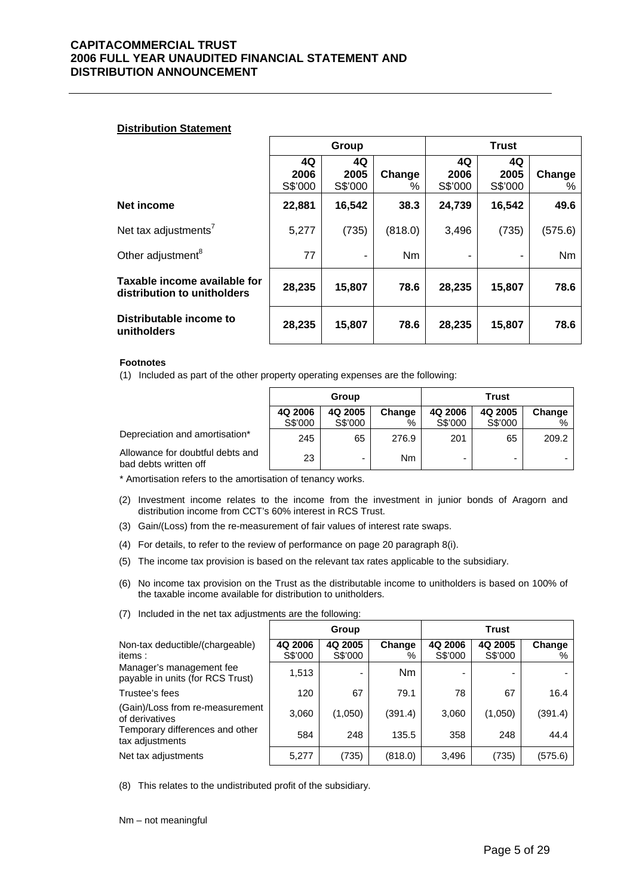#### **Distribution Statement**

|                                                             | Group                 |                       |                | <b>Trust</b>          |                       |             |
|-------------------------------------------------------------|-----------------------|-----------------------|----------------|-----------------------|-----------------------|-------------|
|                                                             | 4Q<br>2006<br>S\$'000 | 4Q<br>2005<br>S\$'000 | Change<br>%    | 4Q<br>2006<br>S\$'000 | 4Q<br>2005<br>S\$'000 | Change<br>% |
| Net income                                                  | 22,881                | 16,542                | 38.3           | 24,739                | 16,542                | 49.6        |
| Net tax adjustments <sup>7</sup>                            | 5,277                 | (735)                 | (818.0)        | 3,496                 | (735)                 | (575.6)     |
| Other adjustment <sup>8</sup>                               | 77                    | ۰                     | N <sub>m</sub> |                       |                       | Nm          |
| Taxable income available for<br>distribution to unitholders | 28,235                | 15,807                | 78.6           | 28,235                | 15,807                | 78.6        |
| Distributable income to<br>unitholders                      | 28,235                | 15,807                | 78.6           | 28,235                | 15,807                | 78.6        |

#### **Footnotes**

(1) Included as part of the other property operating expenses are the following:

|                                                           | Group              |                    |                | Trust              |                    |             |
|-----------------------------------------------------------|--------------------|--------------------|----------------|--------------------|--------------------|-------------|
|                                                           | 4Q 2006<br>S\$'000 | 4Q 2005<br>S\$'000 | Change<br>%    | 4Q 2006<br>S\$'000 | 4Q 2005<br>S\$'000 | Change<br>% |
| Depreciation and amortisation*                            | 245                | 65                 | 276.9          | 201                | 65                 | 209.2       |
| Allowance for doubtful debts and<br>bad debts written off | 23                 | -                  | N <sub>m</sub> | -                  |                    |             |

\* Amortisation refers to the amortisation of tenancy works.

- (2) Investment income relates to the income from the investment in junior bonds of Aragorn and distribution income from CCT's 60% interest in RCS Trust.
- (3) Gain/(Loss) from the re-measurement of fair values of interest rate swaps.
- (4) For details, to refer to the review of performance on page 20 paragraph 8(i).
- (5) The income tax provision is based on the relevant tax rates applicable to the subsidiary.
- (6) No income tax provision on the Trust as the distributable income to unitholders is based on 100% of the taxable income available for distribution to unitholders.

|                                                              |                    | Group              |                |                    | <b>Trust</b>       |             |
|--------------------------------------------------------------|--------------------|--------------------|----------------|--------------------|--------------------|-------------|
| Non-tax deductible/(chargeable)<br>items:                    | 4Q 2006<br>S\$'000 | 4Q 2005<br>S\$'000 | Change<br>%    | 4Q 2006<br>S\$'000 | 4Q 2005<br>S\$'000 | Change<br>% |
| Manager's management fee<br>payable in units (for RCS Trust) | 1,513              | -                  | N <sub>m</sub> |                    |                    |             |
| Trustee's fees                                               | 120                | 67                 | 79.1           | 78                 | 67                 | 16.4        |
| (Gain)/Loss from re-measurement<br>of derivatives            | 3,060              | (1,050)            | (391.4)        | 3,060              | (1,050)            | (391.4)     |
| Temporary differences and other<br>tax adjustments           | 584                | 248                | 135.5          | 358                | 248                | 44.4        |
| Net tax adjustments                                          | 5,277              | (735)              | (818.0)        | 3,496              | (735)              | (575.6)     |

(7) Included in the net tax adjustments are the following:

(8) This relates to the undistributed profit of the subsidiary.

Nm – not meaningful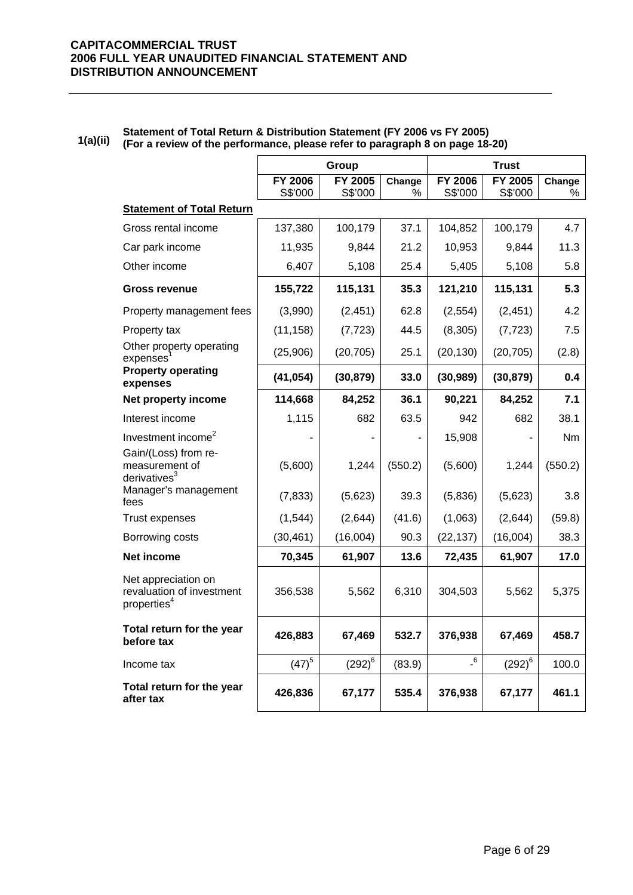|                                                                             |                    | Group              |             |                    | <b>Trust</b>              |             |
|-----------------------------------------------------------------------------|--------------------|--------------------|-------------|--------------------|---------------------------|-------------|
|                                                                             | FY 2006<br>S\$'000 | FY 2005<br>S\$'000 | Change<br>% | FY 2006<br>S\$'000 | <b>FY 2005</b><br>S\$'000 | Change<br>℅ |
| <b>Statement of Total Return</b>                                            |                    |                    |             |                    |                           |             |
| Gross rental income                                                         | 137,380            | 100,179            | 37.1        | 104,852            | 100,179                   | 4.7         |
| Car park income                                                             | 11,935             | 9,844              | 21.2        | 10,953             | 9,844                     | 11.3        |
| Other income                                                                | 6,407              | 5,108              | 25.4        | 5,405              | 5,108                     | 5.8         |
| <b>Gross revenue</b>                                                        | 155,722            | 115,131            | 35.3        | 121,210            | 115,131                   | 5.3         |
| Property management fees                                                    | (3,990)            | (2, 451)           | 62.8        | (2, 554)           | (2, 451)                  | 4.2         |
| Property tax                                                                | (11, 158)          | (7, 723)           | 44.5        | (8,305)            | (7, 723)                  | 7.5         |
| Other property operating<br>expenses                                        | (25,906)           | (20, 705)          | 25.1        | (20, 130)          | (20, 705)                 | (2.8)       |
| <b>Property operating</b><br>expenses                                       | (41, 054)          | (30, 879)          | 33.0        | (30, 989)          | (30, 879)                 | 0.4         |
| Net property income                                                         | 114,668            | 84,252             | 36.1        | 90,221             | 84,252                    | 7.1         |
| Interest income                                                             | 1,115              | 682                | 63.5        | 942                | 682                       | 38.1        |
| Investment income <sup>2</sup>                                              |                    |                    |             | 15,908             |                           | <b>Nm</b>   |
| Gain/(Loss) from re-<br>measurement of<br>derivatives $3$                   | (5,600)            | 1,244              | (550.2)     | (5,600)            | 1,244                     | (550.2)     |
| Manager's management<br>fees                                                | (7, 833)           | (5,623)            | 39.3        | (5,836)            | (5,623)                   | 3.8         |
| <b>Trust expenses</b>                                                       | (1, 544)           | (2,644)            | (41.6)      | (1,063)            | (2,644)                   | (59.8)      |
| Borrowing costs                                                             | (30, 461)          | (16,004)           | 90.3        | (22, 137)          | (16,004)                  | 38.3        |
| Net income                                                                  | 70,345             | 61,907             | 13.6        | 72,435             | 61,907                    | 17.0        |
| Net appreciation on<br>revaluation of investment<br>properties <sup>4</sup> | 356,538            | 5,562              | 6,310       | 304,503            | 5,562                     | 5,375       |
| Total return for the year<br>before tax                                     | 426,883            | 67,469             | 532.7       | 376,938            | 67,469                    | 458.7       |
| Income tax                                                                  | $(47)^{5}$         | $(292)^6$          | (83.9)      | $-6$               | $\left(292\right)^{6}$    | 100.0       |
| Total return for the year<br>after tax                                      | 426,836            | 67,177             | 535.4       | 376,938            | 67,177                    | 461.1       |

#### **1(a)(ii) Statement of Total Return & Distribution Statement (FY 2006 vs FY 2005) (For a review of the performance, please refer to paragraph 8 on page 18-20)**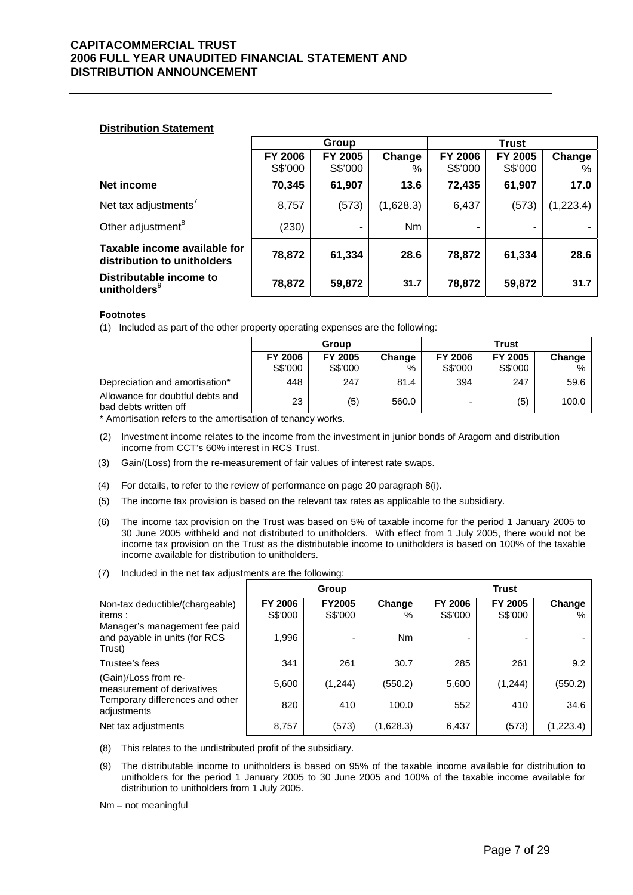#### **Distribution Statement**

|                                                             | Group                     |                    |             |                           | <b>Trust</b>       |             |
|-------------------------------------------------------------|---------------------------|--------------------|-------------|---------------------------|--------------------|-------------|
|                                                             | <b>FY 2006</b><br>S\$'000 | FY 2005<br>S\$'000 | Change<br>% | <b>FY 2006</b><br>S\$'000 | FY 2005<br>S\$'000 | Change<br>% |
| Net income                                                  | 70,345                    | 61,907             | 13.6        | 72,435                    | 61,907             | 17.0        |
|                                                             |                           |                    |             |                           |                    |             |
| Net tax adjustments <sup>7</sup>                            | 8,757                     | (573)              | (1,628.3)   | 6,437                     | (573)              | (1,223.4)   |
| Other adjustment <sup>8</sup>                               | (230)                     |                    | <b>Nm</b>   |                           |                    |             |
| Taxable income available for<br>distribution to unitholders | 78,872                    | 61,334             | 28.6        | 78,872                    | 61,334             | 28.6        |
| Distributable income to<br>unitholders $9$                  | 78,872                    | 59,872             | 31.7        | 78,872                    | 59,872             | 31.7        |

#### **Footnotes**

(1) Included as part of the other property operating expenses are the following:

|                                                           | Group   |         |        | Trust                    |         |        |
|-----------------------------------------------------------|---------|---------|--------|--------------------------|---------|--------|
|                                                           | FY 2006 | FY 2005 | Change | FY 2006                  | FY 2005 | Change |
|                                                           | S\$'000 | S\$'000 | %      | S\$'000                  | S\$'000 | %      |
| Depreciation and amortisation*                            | 448     | 247     | 81.4   | 394                      | 247     | 59.6   |
| Allowance for doubtful debts and<br>bad debts written off | 23      | (5)     | 560.0  | $\overline{\phantom{0}}$ | (5)     | 100.0  |

\* Amortisation refers to the amortisation of tenancy works.

- (2) Investment income relates to the income from the investment in junior bonds of Aragorn and distribution income from CCT's 60% interest in RCS Trust.
- (3) Gain/(Loss) from the re-measurement of fair values of interest rate swaps.
- (4) For details, to refer to the review of performance on page 20 paragraph 8(i).
- (5) The income tax provision is based on the relevant tax rates as applicable to the subsidiary.
- (6) The income tax provision on the Trust was based on 5% of taxable income for the period 1 January 2005 to 30 June 2005 withheld and not distributed to unitholders. With effect from 1 July 2005, there would not be income tax provision on the Trust as the distributable income to unitholders is based on 100% of the taxable income available for distribution to unitholders.
- (7) Included in the net tax adjustments are the following:

|                                                                          |                    | Group                    |                |                    | <b>Trust</b>       |             |
|--------------------------------------------------------------------------|--------------------|--------------------------|----------------|--------------------|--------------------|-------------|
| Non-tax deductible/(chargeable)<br>items:                                | FY 2006<br>S\$'000 | <b>FY2005</b><br>S\$'000 | Change<br>%    | FY 2006<br>S\$'000 | FY 2005<br>S\$'000 | Change<br>% |
| Manager's management fee paid<br>and payable in units (for RCS<br>Trust) | 1,996              |                          | N <sub>m</sub> | -                  |                    |             |
| Trustee's fees                                                           | 341                | 261                      | 30.7           | 285                | 261                | 9.2         |
| (Gain)/Loss from re-<br>measurement of derivatives                       | 5,600              | (1, 244)                 | (550.2)        | 5,600              | (1,244)            | (550.2)     |
| Temporary differences and other<br>adjustments                           | 820                | 410                      | 100.0          | 552                | 410                | 34.6        |
| Net tax adjustments                                                      | 8,757              | (573)                    | (1,628.3)      | 6,437              | (573)              | (1,223.4)   |

- (8) This relates to the undistributed profit of the subsidiary.
- (9) The distributable income to unitholders is based on 95% of the taxable income available for distribution to unitholders for the period 1 January 2005 to 30 June 2005 and 100% of the taxable income available for distribution to unitholders from 1 July 2005.
- Nm not meaningful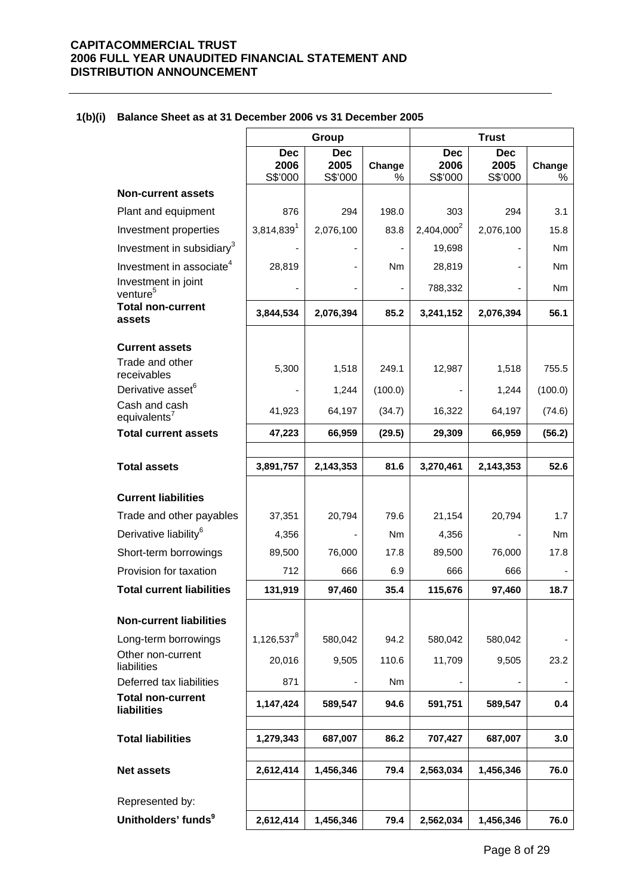|                                             |                               | Group                         |             |                               | <b>Trust</b>                  |                          |
|---------------------------------------------|-------------------------------|-------------------------------|-------------|-------------------------------|-------------------------------|--------------------------|
|                                             | <b>Dec</b><br>2006<br>S\$'000 | <b>Dec</b><br>2005<br>S\$'000 | Change<br>% | <b>Dec</b><br>2006<br>S\$'000 | <b>Dec</b><br>2005<br>S\$'000 | Change<br>%              |
| <b>Non-current assets</b>                   |                               |                               |             |                               |                               |                          |
| Plant and equipment                         | 876                           | 294                           | 198.0       | 303                           | 294                           | 3.1                      |
| Investment properties                       | 3,814,839                     | 2,076,100                     | 83.8        | 2,404,000 <sup>2</sup>        | 2,076,100                     | 15.8                     |
| Investment in subsidiary <sup>3</sup>       |                               |                               |             | 19,698                        |                               | Nm.                      |
| Investment in associate <sup>4</sup>        | 28,819                        |                               | Nm          | 28,819                        |                               | Nm.                      |
| Investment in joint<br>venture <sup>5</sup> |                               |                               |             | 788,332                       |                               | Nm                       |
| <b>Total non-current</b><br>assets          | 3,844,534                     | 2,076,394                     | 85.2        | 3,241,152                     | 2,076,394                     | 56.1                     |
| <b>Current assets</b>                       |                               |                               |             |                               |                               |                          |
| Trade and other<br>receivables              | 5,300                         | 1,518                         | 249.1       | 12,987                        | 1,518                         | 755.5                    |
| Derivative asset <sup>6</sup>               |                               | 1,244                         | (100.0)     |                               | 1,244                         | (100.0)                  |
| Cash and cash<br>equivalents <sup>7</sup>   | 41,923                        | 64,197                        | (34.7)      | 16,322                        | 64,197                        | (74.6)                   |
| <b>Total current assets</b>                 | 47,223                        | 66,959                        | (29.5)      | 29,309                        | 66,959                        | (56.2)                   |
| <b>Total assets</b>                         | 3,891,757                     | 2,143,353                     | 81.6        | 3,270,461                     | 2,143,353                     | 52.6                     |
| <b>Current liabilities</b>                  |                               |                               |             |                               |                               |                          |
| Trade and other payables                    | 37,351                        | 20,794                        | 79.6        | 21,154                        | 20,794                        | 1.7                      |
| Derivative liability <sup>6</sup>           | 4,356                         |                               | Nm          | 4,356                         |                               | N <sub>m</sub>           |
| Short-term borrowings                       | 89,500                        | 76,000                        | 17.8        | 89,500                        | 76,000                        | 17.8                     |
| Provision for taxation                      | 712                           | 666                           | 6.9         | 666                           | 666                           |                          |
| <b>Total current liabilities</b>            | 131,919                       | 97,460                        | 35.4        | 115,676                       | 97,460                        | 18.7                     |
| <b>Non-current liabilities</b>              |                               |                               |             |                               |                               |                          |
| Long-term borrowings                        | $1,126,537^8$                 | 580,042                       | 94.2        | 580,042                       | 580,042                       |                          |
| Other non-current<br>liabilities            | 20,016                        | 9,505                         | 110.6       | 11,709                        | 9,505                         | 23.2                     |
| Deferred tax liabilities                    | 871                           |                               | Nm          |                               | $\overline{\phantom{a}}$      | $\overline{\phantom{a}}$ |
| <b>Total non-current</b><br>liabilities     | 1,147,424                     | 589,547                       | 94.6        | 591,751                       | 589,547                       | 0.4                      |
| <b>Total liabilities</b>                    | 1,279,343                     | 687,007                       | 86.2        | 707,427                       | 687,007                       | 3.0                      |
| <b>Net assets</b>                           | 2,612,414                     | 1,456,346                     | 79.4        | 2,563,034                     | 1,456,346                     | 76.0                     |
| Represented by:                             |                               |                               |             |                               |                               |                          |
| Unitholders' funds <sup>9</sup>             | 2,612,414                     | 1,456,346                     | 79.4        | 2,562,034                     | 1,456,346                     | 76.0                     |

#### **1(b)(i) Balance Sheet as at 31 December 2006 vs 31 December 2005**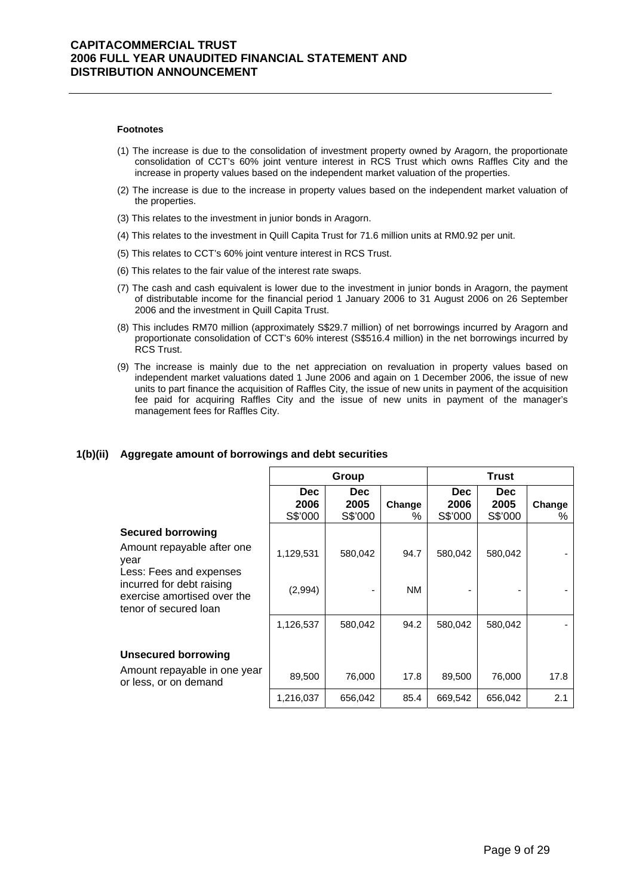#### **Footnotes**

- (1) The increase is due to the consolidation of investment property owned by Aragorn, the proportionate consolidation of CCT's 60% joint venture interest in RCS Trust which owns Raffles City and the increase in property values based on the independent market valuation of the properties.
- (2) The increase is due to the increase in property values based on the independent market valuation of the properties.
- (3) This relates to the investment in junior bonds in Aragorn.
- (4) This relates to the investment in Quill Capita Trust for 71.6 million units at RM0.92 per unit.
- (5) This relates to CCT's 60% joint venture interest in RCS Trust.
- (6) This relates to the fair value of the interest rate swaps.
- (7) The cash and cash equivalent is lower due to the investment in junior bonds in Aragorn, the payment of distributable income for the financial period 1 January 2006 to 31 August 2006 on 26 September 2006 and the investment in Quill Capita Trust.
- (8) This includes RM70 million (approximately S\$29.7 million) of net borrowings incurred by Aragorn and proportionate consolidation of CCT's 60% interest (S\$516.4 million) in the net borrowings incurred by RCS Trust.
- (9) The increase is mainly due to the net appreciation on revaluation in property values based on independent market valuations dated 1 June 2006 and again on 1 December 2006, the issue of new units to part finance the acquisition of Raffles City, the issue of new units in payment of the acquisition fee paid for acquiring Raffles City and the issue of new units in payment of the manager's management fees for Raffles City.

|                                                                                                              | Group                         |                               |             | <b>Trust</b>                  |                               |             |
|--------------------------------------------------------------------------------------------------------------|-------------------------------|-------------------------------|-------------|-------------------------------|-------------------------------|-------------|
|                                                                                                              | <b>Dec</b><br>2006<br>S\$'000 | <b>Dec</b><br>2005<br>S\$'000 | Change<br>% | <b>Dec</b><br>2006<br>S\$'000 | <b>Dec</b><br>2005<br>S\$'000 | Change<br>℅ |
| <b>Secured borrowing</b>                                                                                     |                               |                               |             |                               |                               |             |
| Amount repayable after one<br>year                                                                           | 1,129,531                     | 580,042                       | 94.7        | 580,042                       | 580,042                       |             |
| Less: Fees and expenses<br>incurred for debt raising<br>exercise amortised over the<br>tenor of secured loan | (2,994)                       |                               | NM.         |                               |                               |             |
|                                                                                                              | 1,126,537                     | 580,042                       | 94.2        | 580,042                       | 580,042                       |             |
| <b>Unsecured borrowing</b><br>Amount repayable in one year<br>or less, or on demand                          | 89,500                        | 76,000                        | 17.8        | 89,500                        | 76,000                        | 17.8        |
|                                                                                                              | 1,216,037                     | 656,042                       | 85.4        | 669,542                       | 656,042                       | 2.1         |

#### **1(b)(ii) Aggregate amount of borrowings and debt securities**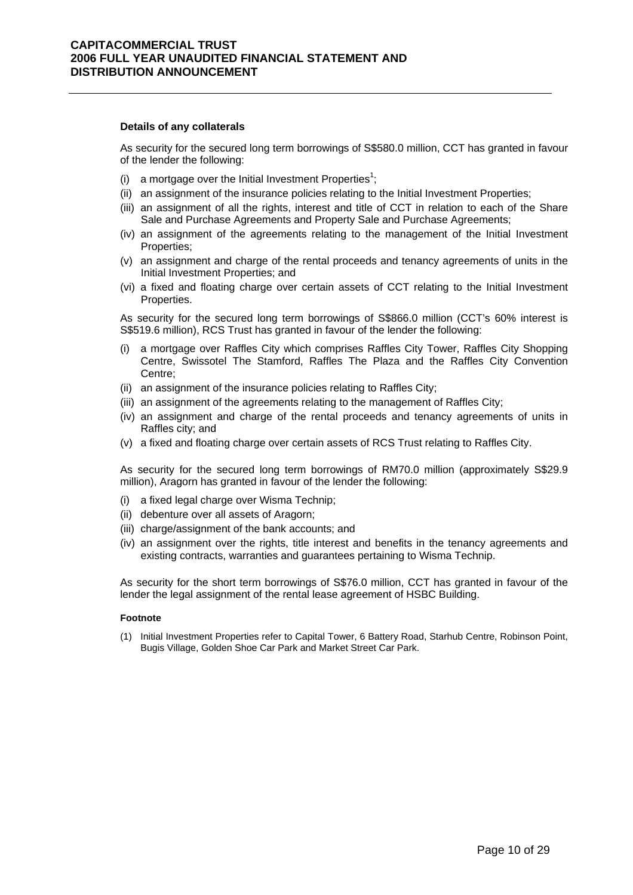#### **Details of any collaterals**

As security for the secured long term borrowings of S\$580.0 million, CCT has granted in favour of the lender the following:

- (i) a mortgage over the Initial Investment Properties<sup>1</sup>;
- (ii) an assignment of the insurance policies relating to the Initial Investment Properties;
- (iii) an assignment of all the rights, interest and title of CCT in relation to each of the Share Sale and Purchase Agreements and Property Sale and Purchase Agreements;
- (iv) an assignment of the agreements relating to the management of the Initial Investment Properties;
- (v) an assignment and charge of the rental proceeds and tenancy agreements of units in the Initial Investment Properties; and
- (vi) a fixed and floating charge over certain assets of CCT relating to the Initial Investment Properties.

As security for the secured long term borrowings of S\$866.0 million (CCT's 60% interest is S\$519.6 million), RCS Trust has granted in favour of the lender the following:

- (i) a mortgage over Raffles City which comprises Raffles City Tower, Raffles City Shopping Centre, Swissotel The Stamford, Raffles The Plaza and the Raffles City Convention Centre;
- (ii) an assignment of the insurance policies relating to Raffles City;
- (iii) an assignment of the agreements relating to the management of Raffles City;
- (iv) an assignment and charge of the rental proceeds and tenancy agreements of units in Raffles city; and
- (v) a fixed and floating charge over certain assets of RCS Trust relating to Raffles City.

As security for the secured long term borrowings of RM70.0 million (approximately S\$29.9 million), Aragorn has granted in favour of the lender the following:

- (i) a fixed legal charge over Wisma Technip;
- (ii) debenture over all assets of Aragorn;
- (iii) charge/assignment of the bank accounts; and
- (iv) an assignment over the rights, title interest and benefits in the tenancy agreements and existing contracts, warranties and guarantees pertaining to Wisma Technip.

As security for the short term borrowings of S\$76.0 million, CCT has granted in favour of the lender the legal assignment of the rental lease agreement of HSBC Building.

#### **Footnote**

(1) Initial Investment Properties refer to Capital Tower, 6 Battery Road, Starhub Centre, Robinson Point, Bugis Village, Golden Shoe Car Park and Market Street Car Park.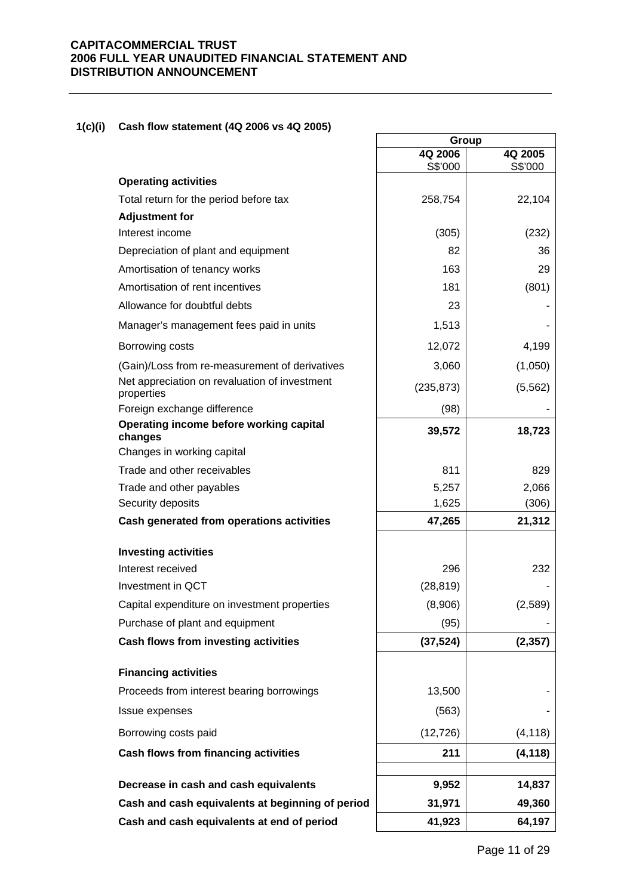## **1(c)(i) Cash flow statement (4Q 2006 vs 4Q 2005)**

| $\frac{1}{2}$                                               |                    |                    |
|-------------------------------------------------------------|--------------------|--------------------|
|                                                             | Group              |                    |
|                                                             | 4Q 2006<br>S\$'000 | 4Q 2005<br>S\$'000 |
| <b>Operating activities</b>                                 |                    |                    |
| Total return for the period before tax                      | 258,754            | 22,104             |
| <b>Adjustment for</b>                                       |                    |                    |
| Interest income                                             | (305)              | (232)              |
| Depreciation of plant and equipment                         | 82                 | 36                 |
| Amortisation of tenancy works                               | 163                | 29                 |
| Amortisation of rent incentives                             | 181                | (801)              |
| Allowance for doubtful debts                                | 23                 |                    |
| Manager's management fees paid in units                     | 1,513              |                    |
| Borrowing costs                                             | 12,072             | 4,199              |
| (Gain)/Loss from re-measurement of derivatives              | 3,060              | (1,050)            |
| Net appreciation on revaluation of investment<br>properties | (235, 873)         | (5, 562)           |
| Foreign exchange difference                                 | (98)               |                    |
| Operating income before working capital<br>changes          | 39,572             | 18,723             |
| Changes in working capital                                  |                    |                    |
| Trade and other receivables                                 | 811                | 829                |
| Trade and other payables                                    | 5,257              | 2,066              |
| Security deposits                                           | 1,625              | (306)              |
| Cash generated from operations activities                   | 47,265             | 21,312             |
| <b>Investing activities</b>                                 |                    |                    |
| Interest received                                           | 296                | 232                |
| Investment in QCT                                           | (28, 819)          |                    |
| Capital expenditure on investment properties                | (8,906)            | (2, 589)           |
| Purchase of plant and equipment                             | (95)               |                    |
| Cash flows from investing activities                        | (37, 524)          | (2, 357)           |
| <b>Financing activities</b>                                 |                    |                    |
| Proceeds from interest bearing borrowings                   | 13,500             |                    |
| Issue expenses                                              | (563)              |                    |
| Borrowing costs paid                                        | (12, 726)          | (4, 118)           |
| Cash flows from financing activities                        | 211                | (4, 118)           |
|                                                             |                    |                    |
| Decrease in cash and cash equivalents                       | 9,952              | 14,837             |
| Cash and cash equivalents at beginning of period            | 31,971             | 49,360             |
| Cash and cash equivalents at end of period                  | 41,923             | 64,197             |
|                                                             |                    |                    |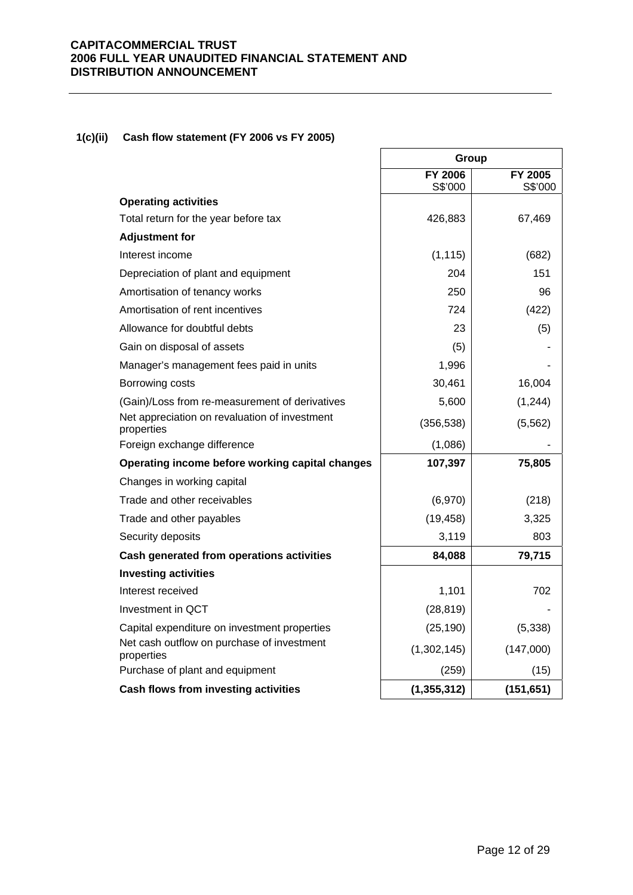## **1(c)(ii) Cash flow statement (FY 2006 vs FY 2005)**

|                                                             | Group          |            |
|-------------------------------------------------------------|----------------|------------|
|                                                             | <b>FY 2006</b> | FY 2005    |
| <b>Operating activities</b>                                 | S\$'000        | S\$'000    |
| Total return for the year before tax                        | 426,883        | 67,469     |
| <b>Adjustment for</b>                                       |                |            |
| Interest income                                             | (1, 115)       | (682)      |
| Depreciation of plant and equipment                         | 204            | 151        |
| Amortisation of tenancy works                               | 250            | 96         |
| Amortisation of rent incentives                             | 724            | (422)      |
| Allowance for doubtful debts                                | 23             | (5)        |
| Gain on disposal of assets                                  | (5)            |            |
| Manager's management fees paid in units                     | 1,996          |            |
| Borrowing costs                                             | 30,461         | 16,004     |
| (Gain)/Loss from re-measurement of derivatives              | 5,600          | (1, 244)   |
| Net appreciation on revaluation of investment<br>properties | (356, 538)     | (5, 562)   |
| Foreign exchange difference                                 | (1,086)        |            |
| Operating income before working capital changes             | 107,397        | 75,805     |
| Changes in working capital                                  |                |            |
| Trade and other receivables                                 | (6,970)        | (218)      |
| Trade and other payables                                    | (19, 458)      | 3,325      |
| Security deposits                                           | 3,119          | 803        |
| Cash generated from operations activities                   | 84,088         | 79,715     |
| <b>Investing activities</b>                                 |                |            |
| Interest received                                           | 1,101          | 702        |
| Investment in QCT                                           | (28, 819)      |            |
| Capital expenditure on investment properties                | (25, 190)      | (5, 338)   |
| Net cash outflow on purchase of investment<br>properties    | (1,302,145)    | (147,000)  |
| Purchase of plant and equipment                             | (259)          | (15)       |
| Cash flows from investing activities                        | (1, 355, 312)  | (151, 651) |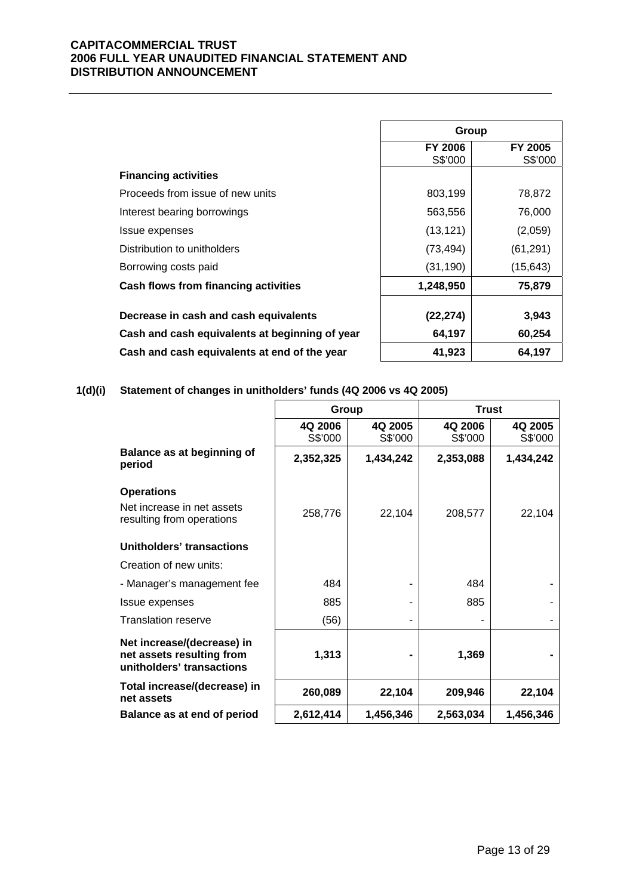|                                                | Group                     |                    |
|------------------------------------------------|---------------------------|--------------------|
|                                                | <b>FY 2006</b><br>S\$'000 | FY 2005<br>S\$'000 |
| <b>Financing activities</b>                    |                           |                    |
| Proceeds from issue of new units               | 803,199                   | 78,872             |
| Interest bearing borrowings                    | 563,556                   | 76,000             |
| Issue expenses                                 | (13, 121)                 | (2,059)            |
| Distribution to unitholders                    | (73, 494)                 | (61, 291)          |
| Borrowing costs paid                           | (31, 190)                 | (15, 643)          |
| <b>Cash flows from financing activities</b>    | 1,248,950                 | 75,879             |
|                                                |                           |                    |
| Decrease in cash and cash equivalents          | (22, 274)                 | 3,943              |
| Cash and cash equivalents at beginning of year | 64,197                    | 60,254             |
| Cash and cash equivalents at end of the year   | 41,923                    | 64,197             |

**1(d)(i) Statement of changes in unitholders' funds (4Q 2006 vs 4Q 2005)**

|                                                                                      | Group              |                    | <b>Trust</b>       |                    |
|--------------------------------------------------------------------------------------|--------------------|--------------------|--------------------|--------------------|
|                                                                                      | 4Q 2006<br>S\$'000 | 4Q 2005<br>S\$'000 | 4Q 2006<br>S\$'000 | 4Q 2005<br>S\$'000 |
| <b>Balance as at beginning of</b><br>period                                          | 2,352,325          | 1,434,242          | 2,353,088          | 1,434,242          |
| <b>Operations</b>                                                                    |                    |                    |                    |                    |
| Net increase in net assets<br>resulting from operations                              | 258,776            | 22,104             | 208,577            | 22,104             |
| Unitholders' transactions                                                            |                    |                    |                    |                    |
| Creation of new units:                                                               |                    |                    |                    |                    |
| - Manager's management fee                                                           | 484                |                    | 484                |                    |
| Issue expenses                                                                       | 885                |                    | 885                |                    |
| <b>Translation reserve</b>                                                           | (56)               |                    |                    |                    |
| Net increase/(decrease) in<br>net assets resulting from<br>unitholders' transactions | 1,313              |                    | 1,369              |                    |
| Total increase/(decrease) in<br>net assets                                           | 260,089            | 22,104             | 209,946            | 22,104             |
| Balance as at end of period                                                          | 2,612,414          | 1,456,346          | 2,563,034          | 1,456,346          |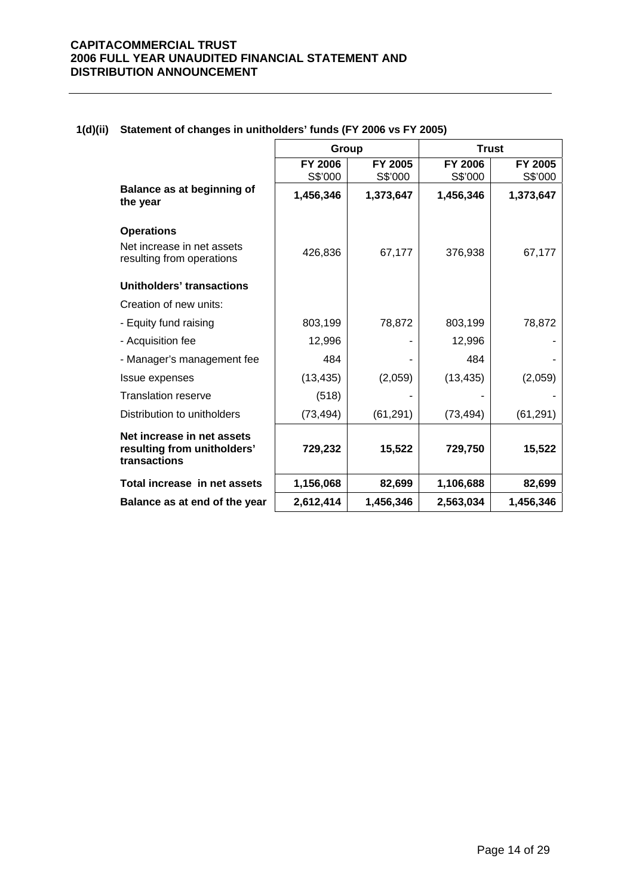|                                                                           | Group                     |                    |                           | <b>Trust</b>       |
|---------------------------------------------------------------------------|---------------------------|--------------------|---------------------------|--------------------|
|                                                                           | <b>FY 2006</b><br>S\$'000 | FY 2005<br>S\$'000 | <b>FY 2006</b><br>S\$'000 | FY 2005<br>S\$'000 |
| Balance as at beginning of<br>the year                                    | 1,456,346                 | 1,373,647          | 1,456,346                 | 1,373,647          |
| <b>Operations</b>                                                         |                           |                    |                           |                    |
| Net increase in net assets<br>resulting from operations                   | 426,836                   | 67,177             | 376,938                   | 67,177             |
| Unitholders' transactions                                                 |                           |                    |                           |                    |
| Creation of new units:                                                    |                           |                    |                           |                    |
| - Equity fund raising                                                     | 803,199                   | 78,872             | 803,199                   | 78,872             |
| - Acquisition fee                                                         | 12,996                    |                    | 12,996                    |                    |
| - Manager's management fee                                                | 484                       |                    | 484                       |                    |
| Issue expenses                                                            | (13, 435)                 | (2,059)            | (13, 435)                 | (2,059)            |
| <b>Translation reserve</b>                                                | (518)                     |                    |                           |                    |
| Distribution to unitholders                                               | (73, 494)                 | (61, 291)          | (73, 494)                 | (61, 291)          |
| Net increase in net assets<br>resulting from unitholders'<br>transactions | 729,232                   | 15,522             | 729,750                   | 15,522             |
| Total increase in net assets                                              | 1,156,068                 | 82,699             | 1,106,688                 | 82,699             |
| Balance as at end of the year                                             | 2,612,414                 | 1,456,346          | 2,563,034                 | 1,456,346          |

## **1(d)(ii) Statement of changes in unitholders' funds (FY 2006 vs FY 2005)**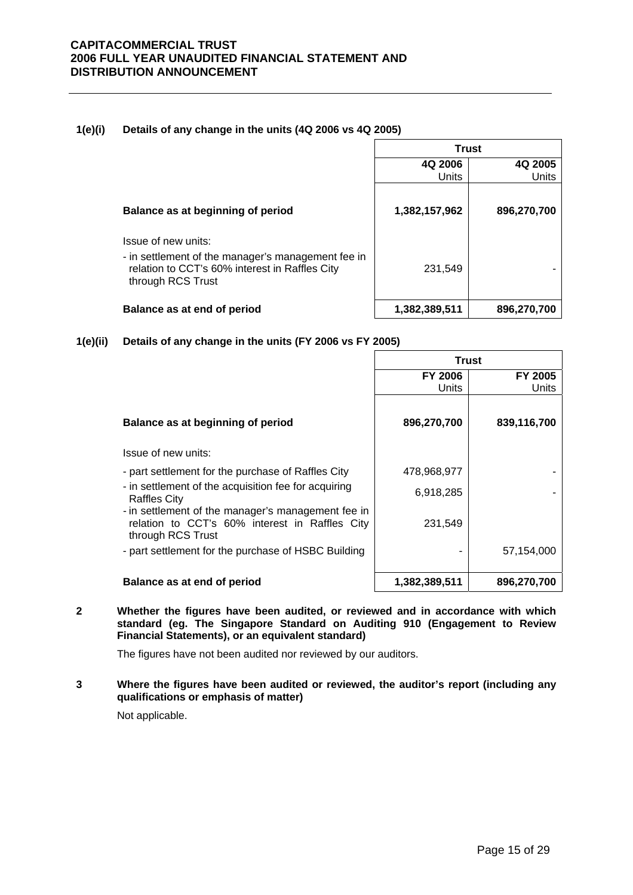## **1(e)(i) Details of any change in the units (4Q 2006 vs 4Q 2005)**

|                                                                                                                                                  | <b>Trust</b>     |                  |  |
|--------------------------------------------------------------------------------------------------------------------------------------------------|------------------|------------------|--|
|                                                                                                                                                  | 4Q 2006<br>Units | 4Q 2005<br>Units |  |
| Balance as at beginning of period                                                                                                                | 1,382,157,962    | 896,270,700      |  |
| Issue of new units:<br>- in settlement of the manager's management fee in<br>relation to CCT's 60% interest in Raffles City<br>through RCS Trust | 231.549          |                  |  |
| Balance as at end of period                                                                                                                      | 1,382,389,511    | 896,270,700      |  |

**1(e)(ii) Details of any change in the units (FY 2006 vs FY 2005)**

|                                                                                                                           | <b>Trust</b>   |                |
|---------------------------------------------------------------------------------------------------------------------------|----------------|----------------|
|                                                                                                                           | <b>FY 2006</b> | <b>FY 2005</b> |
|                                                                                                                           | Units          | Units          |
| Balance as at beginning of period                                                                                         | 896,270,700    | 839,116,700    |
| Issue of new units:                                                                                                       |                |                |
| - part settlement for the purchase of Raffles City                                                                        | 478,968,977    |                |
| - in settlement of the acquisition fee for acquiring<br><b>Raffles City</b>                                               | 6,918,285      |                |
| - in settlement of the manager's management fee in<br>relation to CCT's 60% interest in Raffles City<br>through RCS Trust | 231,549        |                |
| - part settlement for the purchase of HSBC Building                                                                       |                | 57,154,000     |
| Balance as at end of period                                                                                               | 1,382,389,511  | 896,270,700    |

**2 Whether the figures have been audited, or reviewed and in accordance with which standard (eg. The Singapore Standard on Auditing 910 (Engagement to Review Financial Statements), or an equivalent standard)** 

The figures have not been audited nor reviewed by our auditors.

**3 Where the figures have been audited or reviewed, the auditor's report (including any qualifications or emphasis of matter)** 

Not applicable.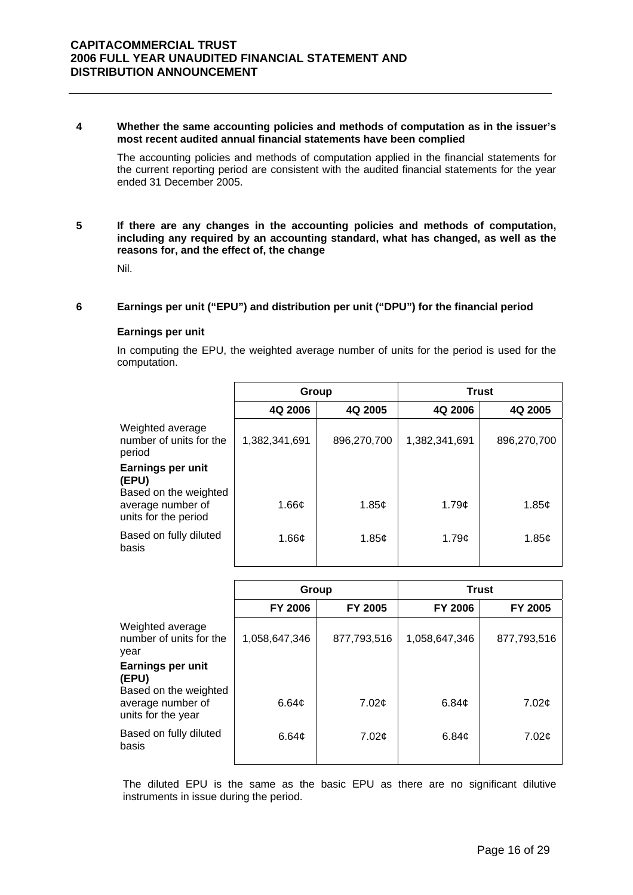#### **4 Whether the same accounting policies and methods of computation as in the issuer's most recent audited annual financial statements have been complied**

The accounting policies and methods of computation applied in the financial statements for the current reporting period are consistent with the audited financial statements for the year ended 31 December 2005.

#### **5 If there are any changes in the accounting policies and methods of computation, including any required by an accounting standard, what has changed, as well as the reasons for, and the effect of, the change**

Nil.

#### **6 Earnings per unit ("EPU") and distribution per unit ("DPU") for the financial period**

#### **Earnings per unit**

In computing the EPU, the weighted average number of units for the period is used for the computation.

|                                                            | Group              |             | <b>Trust</b>  |             |
|------------------------------------------------------------|--------------------|-------------|---------------|-------------|
|                                                            | 4Q 2006            | 4Q 2005     | 4Q 2006       | 4Q 2005     |
| Weighted average<br>number of units for the<br>period      | 1,382,341,691      | 896,270,700 | 1,382,341,691 | 896,270,700 |
| <b>Earnings per unit</b><br>(EPU)<br>Based on the weighted |                    |             |               |             |
| average number of<br>units for the period                  | 1.66 $\mathfrak c$ | 1.85¢       | 1.79c         | 1.85¢       |
| Based on fully diluted<br>basis                            | 1.66c              | 1.85c       | 1.79c         | 1.85c       |

|                                                     | Group             |                   | <b>Trust</b>      |             |
|-----------------------------------------------------|-------------------|-------------------|-------------------|-------------|
|                                                     | <b>FY 2006</b>    | FY 2005           | <b>FY 2006</b>    | FY 2005     |
| Weighted average<br>number of units for the<br>year | 1,058,647,346     | 877,793,516       | 1,058,647,346     | 877,793,516 |
| Earnings per unit<br>(EPU)<br>Based on the weighted |                   |                   |                   |             |
| average number of<br>units for the year             | 6.64 <sub>c</sub> | 7.02¢             | 6.84 <sub>c</sub> | 7.02¢       |
| Based on fully diluted<br>basis                     | 6.64c             | 7.02 <sub>c</sub> | 6.84 <sub>c</sub> | 7.02¢       |

The diluted EPU is the same as the basic EPU as there are no significant dilutive instruments in issue during the period.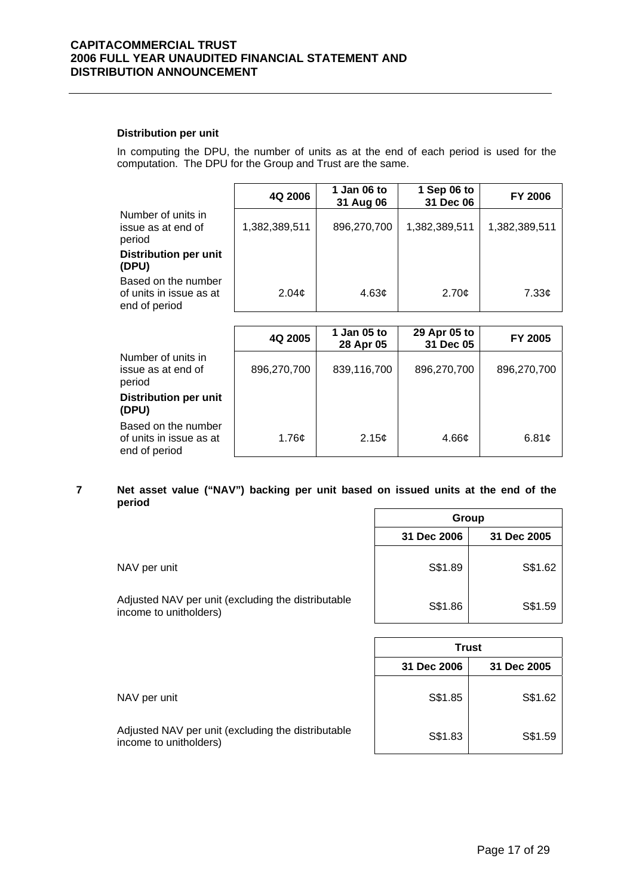#### **Distribution per unit**

In computing the DPU, the number of units as at the end of each period is used for the computation. The DPU for the Group and Trust are the same.

|                                                                 | 4Q 2006           | 1 Jan 06 to<br>31 Aug 06 | 1 Sep 06 to<br>31 Dec 06 | <b>FY 2006</b>    |
|-----------------------------------------------------------------|-------------------|--------------------------|--------------------------|-------------------|
| Number of units in<br>issue as at end of<br>period              | 1,382,389,511     | 896,270,700              | 1,382,389,511            | 1,382,389,511     |
| <b>Distribution per unit</b><br>(DPU)                           |                   |                          |                          |                   |
| Based on the number<br>of units in issue as at<br>end of period | 2.04 <sub>c</sub> | 4.63 <sub>c</sub>        | 2.70¢                    | 7.33 <sub>¢</sub> |

|                                                                 | 4Q 2005           | 1 Jan 05 to<br>28 Apr 05 | 29 Apr 05 to<br>31 Dec 05 | FY 2005     |
|-----------------------------------------------------------------|-------------------|--------------------------|---------------------------|-------------|
| Number of units in<br>issue as at end of<br>period              | 896,270,700       | 839,116,700              | 896,270,700               | 896,270,700 |
| <b>Distribution per unit</b><br>(DPU)                           |                   |                          |                           |             |
| Based on the number<br>of units in issue as at<br>end of period | 1.76 <sub>c</sub> | 2.15¢                    | 4.66 <sub>¢</sub>         | 6.81¢       |

#### **7 Net asset value ("NAV") backing per unit based on issued units at the end of the period**

|                                                                              | Group       |             |  |
|------------------------------------------------------------------------------|-------------|-------------|--|
|                                                                              | 31 Dec 2006 | 31 Dec 2005 |  |
| NAV per unit                                                                 | S\$1.89     | S\$1.62     |  |
| Adjusted NAV per unit (excluding the distributable<br>income to unitholders) | S\$1.86     | S\$1.59     |  |

|                                                                              | 31 Dec 2006 | 31 Dec 2005 |
|------------------------------------------------------------------------------|-------------|-------------|
| NAV per unit                                                                 | S\$1.85     | S\$1.62     |
| Adjusted NAV per unit (excluding the distributable<br>income to unitholders) | S\$1.83     | S\$1.59     |

**Trust**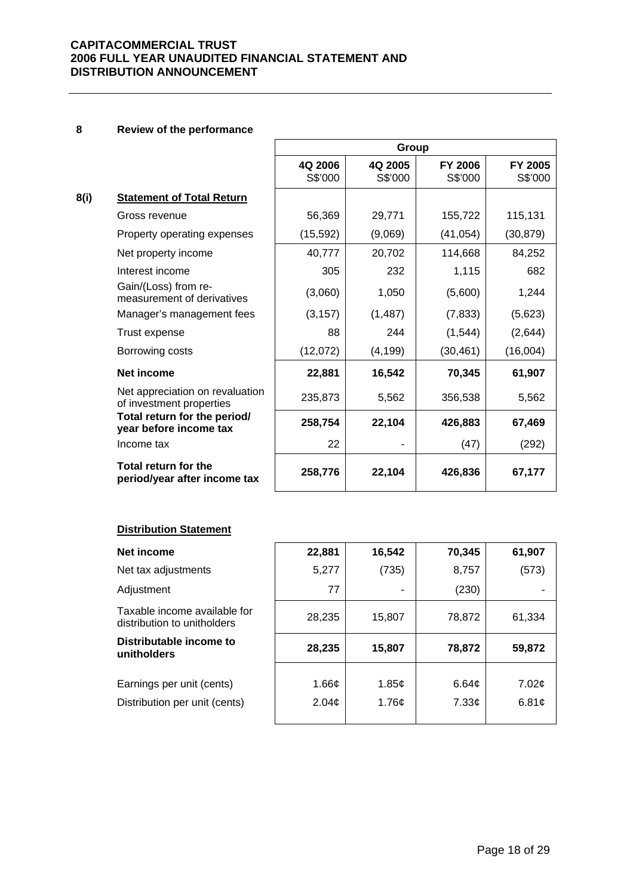#### **8 Review of the performance**

|      |                                                             |                    | Group              |                           |                           |
|------|-------------------------------------------------------------|--------------------|--------------------|---------------------------|---------------------------|
|      |                                                             | 4Q 2006<br>S\$'000 | 4Q 2005<br>S\$'000 | <b>FY 2006</b><br>S\$'000 | <b>FY 2005</b><br>S\$'000 |
| 8(i) | <b>Statement of Total Return</b>                            |                    |                    |                           |                           |
|      | Gross revenue                                               | 56,369             | 29,771             | 155,722                   | 115,131                   |
|      | Property operating expenses                                 | (15, 592)          | (9,069)            | (41, 054)                 | (30, 879)                 |
|      | Net property income                                         | 40,777             | 20,702             | 114,668                   | 84,252                    |
|      | Interest income                                             | 305                | 232                | 1,115                     | 682                       |
|      | Gain/(Loss) from re-<br>measurement of derivatives          | (3,060)            | 1,050              | (5,600)                   | 1,244                     |
|      | Manager's management fees                                   | (3, 157)           | (1, 487)           | (7, 833)                  | (5,623)                   |
|      | Trust expense                                               | 88                 | 244                | (1, 544)                  | (2,644)                   |
|      | Borrowing costs                                             | (12,072)           | (4, 199)           | (30, 461)                 | (16,004)                  |
|      | Net income                                                  | 22,881             | 16,542             | 70,345                    | 61,907                    |
|      | Net appreciation on revaluation<br>of investment properties | 235,873            | 5,562              | 356,538                   | 5,562                     |
|      | Total return for the period/<br>year before income tax      | 258,754            | 22,104             | 426,883                   | 67,469                    |
|      | Income tax                                                  | 22                 |                    | (47)                      | (292)                     |
|      | Total return for the<br>period/year after income tax        | 258,776            | 22,104             | 426,836                   | 67,177                    |

## **Distribution Statement**

| Net income                                                  | 22,881      | 16,542         | 70,345 | 61,907 |
|-------------------------------------------------------------|-------------|----------------|--------|--------|
| Net tax adjustments                                         | 5,277       | (735)          | 8,757  | (573)  |
| Adjustment                                                  | 77          | $\blacksquare$ | (230)  |        |
| Taxable income available for<br>distribution to unitholders | 28,235      | 15,807         | 78,872 | 61,334 |
| Distributable income to<br>unitholders                      | 28,235      | 15,807         | 78,872 | 59,872 |
|                                                             |             |                |        |        |
| Earnings per unit (cents)                                   | 1.66 $\phi$ | 1.85¢          | 6.64¢  | 7.02¢  |
| Distribution per unit (cents)                               | 2.04¢       | 1.76¢          | 7.33¢  | 6.81¢  |
|                                                             |             |                |        |        |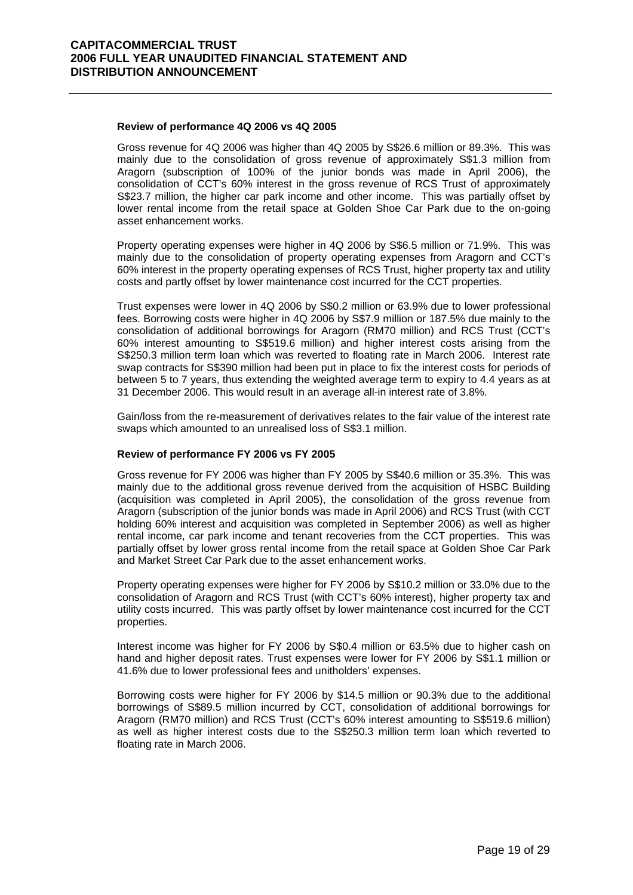#### **Review of performance 4Q 2006 vs 4Q 2005**

Gross revenue for 4Q 2006 was higher than 4Q 2005 by S\$26.6 million or 89.3%. This was mainly due to the consolidation of gross revenue of approximately S\$1.3 million from Aragorn (subscription of 100% of the junior bonds was made in April 2006), the consolidation of CCT's 60% interest in the gross revenue of RCS Trust of approximately S\$23.7 million, the higher car park income and other income. This was partially offset by lower rental income from the retail space at Golden Shoe Car Park due to the on-going asset enhancement works.

Property operating expenses were higher in 4Q 2006 by S\$6.5 million or 71.9%. This was mainly due to the consolidation of property operating expenses from Aragorn and CCT's 60% interest in the property operating expenses of RCS Trust, higher property tax and utility costs and partly offset by lower maintenance cost incurred for the CCT properties.

Trust expenses were lower in 4Q 2006 by S\$0.2 million or 63.9% due to lower professional fees. Borrowing costs were higher in 4Q 2006 by S\$7.9 million or 187.5% due mainly to the consolidation of additional borrowings for Aragorn (RM70 million) and RCS Trust (CCT's 60% interest amounting to S\$519.6 million) and higher interest costs arising from the S\$250.3 million term loan which was reverted to floating rate in March 2006. Interest rate swap contracts for S\$390 million had been put in place to fix the interest costs for periods of between 5 to 7 years, thus extending the weighted average term to expiry to 4.4 years as at 31 December 2006. This would result in an average all-in interest rate of 3.8%.

Gain/loss from the re-measurement of derivatives relates to the fair value of the interest rate swaps which amounted to an unrealised loss of S\$3.1 million.

#### **Review of performance FY 2006 vs FY 2005**

Gross revenue for FY 2006 was higher than FY 2005 by S\$40.6 million or 35.3%. This was mainly due to the additional gross revenue derived from the acquisition of HSBC Building (acquisition was completed in April 2005), the consolidation of the gross revenue from Aragorn (subscription of the junior bonds was made in April 2006) and RCS Trust (with CCT holding 60% interest and acquisition was completed in September 2006) as well as higher rental income, car park income and tenant recoveries from the CCT properties. This was partially offset by lower gross rental income from the retail space at Golden Shoe Car Park and Market Street Car Park due to the asset enhancement works.

Property operating expenses were higher for FY 2006 by S\$10.2 million or 33.0% due to the consolidation of Aragorn and RCS Trust (with CCT's 60% interest), higher property tax and utility costs incurred. This was partly offset by lower maintenance cost incurred for the CCT properties.

Interest income was higher for FY 2006 by S\$0.4 million or 63.5% due to higher cash on hand and higher deposit rates. Trust expenses were lower for FY 2006 by S\$1.1 million or 41.6% due to lower professional fees and unitholders' expenses.

Borrowing costs were higher for FY 2006 by \$14.5 million or 90.3% due to the additional borrowings of S\$89.5 million incurred by CCT, consolidation of additional borrowings for Aragorn (RM70 million) and RCS Trust (CCT's 60% interest amounting to S\$519.6 million) as well as higher interest costs due to the S\$250.3 million term loan which reverted to floating rate in March 2006.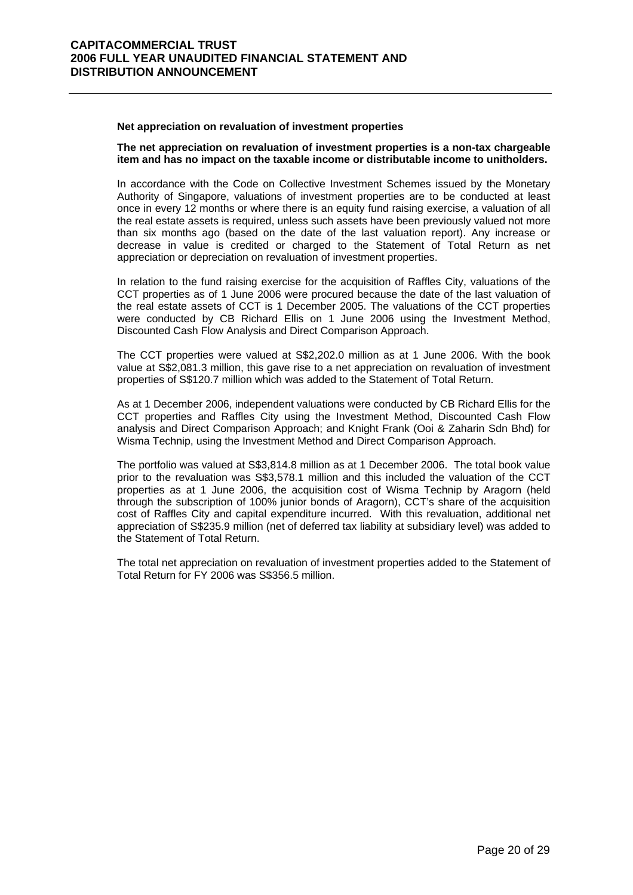#### **Net appreciation on revaluation of investment properties**

#### **The net appreciation on revaluation of investment properties is a non-tax chargeable item and has no impact on the taxable income or distributable income to unitholders.**

In accordance with the Code on Collective Investment Schemes issued by the Monetary Authority of Singapore, valuations of investment properties are to be conducted at least once in every 12 months or where there is an equity fund raising exercise, a valuation of all the real estate assets is required, unless such assets have been previously valued not more than six months ago (based on the date of the last valuation report). Any increase or decrease in value is credited or charged to the Statement of Total Return as net appreciation or depreciation on revaluation of investment properties.

In relation to the fund raising exercise for the acquisition of Raffles City, valuations of the CCT properties as of 1 June 2006 were procured because the date of the last valuation of the real estate assets of CCT is 1 December 2005. The valuations of the CCT properties were conducted by CB Richard Ellis on 1 June 2006 using the Investment Method, Discounted Cash Flow Analysis and Direct Comparison Approach.

The CCT properties were valued at S\$2,202.0 million as at 1 June 2006. With the book value at S\$2,081.3 million, this gave rise to a net appreciation on revaluation of investment properties of S\$120.7 million which was added to the Statement of Total Return.

As at 1 December 2006, independent valuations were conducted by CB Richard Ellis for the CCT properties and Raffles City using the Investment Method, Discounted Cash Flow analysis and Direct Comparison Approach; and Knight Frank (Ooi & Zaharin Sdn Bhd) for Wisma Technip, using the Investment Method and Direct Comparison Approach.

The portfolio was valued at S\$3,814.8 million as at 1 December 2006. The total book value prior to the revaluation was S\$3,578.1 million and this included the valuation of the CCT properties as at 1 June 2006, the acquisition cost of Wisma Technip by Aragorn (held through the subscription of 100% junior bonds of Aragorn), CCT's share of the acquisition cost of Raffles City and capital expenditure incurred. With this revaluation, additional net appreciation of S\$235.9 million (net of deferred tax liability at subsidiary level) was added to the Statement of Total Return.

The total net appreciation on revaluation of investment properties added to the Statement of Total Return for FY 2006 was S\$356.5 million.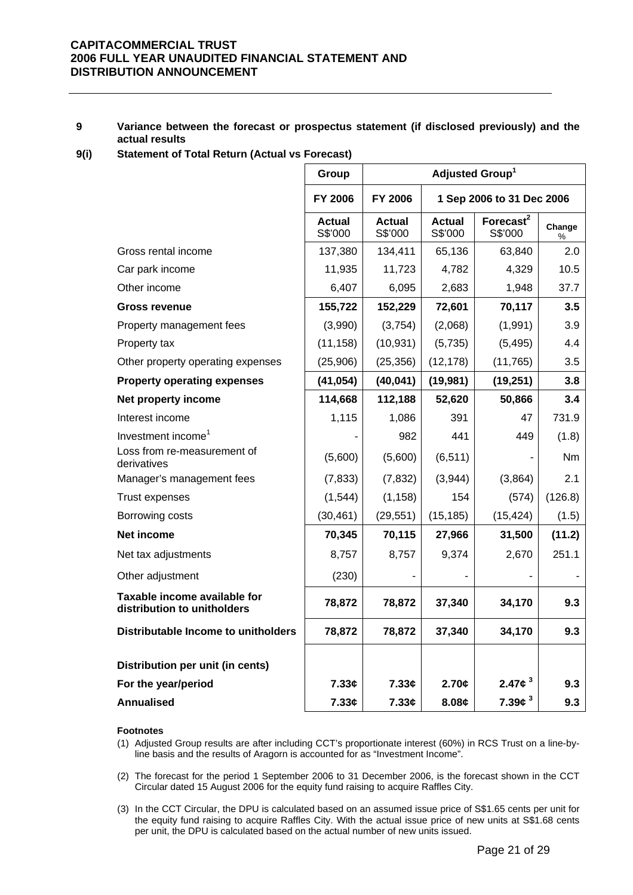#### **9 Variance between the forecast or prospectus statement (if disclosed previously) and the actual results**

**9(i) Statement of Total Return (Actual vs Forecast)** 

|                                                             | Group                    | Adjusted Group <sup>1</sup> |                           |                                  |                |
|-------------------------------------------------------------|--------------------------|-----------------------------|---------------------------|----------------------------------|----------------|
|                                                             | <b>FY 2006</b>           | <b>FY 2006</b>              | 1 Sep 2006 to 31 Dec 2006 |                                  |                |
|                                                             | <b>Actual</b><br>S\$'000 | Actual<br>S\$'000           | <b>Actual</b><br>S\$'000  | Forecast <sup>2</sup><br>S\$'000 | Change<br>%    |
| Gross rental income                                         | 137,380                  | 134,411                     | 65,136                    | 63,840                           | 2.0            |
| Car park income                                             | 11,935                   | 11,723                      | 4,782                     | 4,329                            | 10.5           |
| Other income                                                | 6,407                    | 6,095                       | 2,683                     | 1,948                            | 37.7           |
| <b>Gross revenue</b>                                        | 155,722                  | 152,229                     | 72,601                    | 70,117                           | 3.5            |
| Property management fees                                    | (3,990)                  | (3,754)                     | (2,068)                   | (1,991)                          | 3.9            |
| Property tax                                                | (11, 158)                | (10, 931)                   | (5,735)                   | (5, 495)                         | 4.4            |
| Other property operating expenses                           | (25,906)                 | (25, 356)                   | (12, 178)                 | (11, 765)                        | 3.5            |
| <b>Property operating expenses</b>                          | (41, 054)                | (40, 041)                   | (19, 981)                 | (19, 251)                        | 3.8            |
| Net property income                                         | 114,668                  | 112,188                     | 52,620                    | 50,866                           | 3.4            |
| Interest income                                             | 1,115                    | 1,086                       | 391                       | 47                               | 731.9          |
| Investment income <sup>1</sup>                              |                          | 982                         | 441                       | 449                              | (1.8)          |
| Loss from re-measurement of<br>derivatives                  | (5,600)                  | (5,600)                     | (6, 511)                  |                                  | N <sub>m</sub> |
| Manager's management fees                                   | (7, 833)                 | (7, 832)                    | (3,944)                   | (3,864)                          | 2.1            |
| Trust expenses                                              | (1,544)                  | (1, 158)                    | 154                       | (574)                            | (126.8)        |
| Borrowing costs                                             | (30, 461)                | (29, 551)                   | (15, 185)                 | (15, 424)                        | (1.5)          |
| Net income                                                  | 70,345                   | 70,115                      | 27,966                    | 31,500                           | (11.2)         |
| Net tax adjustments                                         | 8,757                    | 8,757                       | 9,374                     | 2,670                            | 251.1          |
| Other adjustment                                            | (230)                    |                             |                           |                                  |                |
| Taxable income available for<br>distribution to unitholders | 78,872                   | 78,872                      | 37,340                    | 34,170                           | 9.3            |
| Distributable Income to unitholders                         | 78,872                   | 78,872                      | 37,340                    | 34,170                           | 9.3            |
| Distribution per unit (in cents)                            |                          |                             |                           |                                  |                |
| For the year/period                                         | 7.33c                    | 7.33¢                       | 2.70c                     | 2.47 $\phi$ <sup>3</sup>         | 9.3            |
| Annualised                                                  | 7.33c                    | 7.33c                       | 8.08c                     | 7.39c <sup>3</sup>               | 9.3            |

#### **Footnotes**

- (1) Adjusted Group results are after including CCT's proportionate interest (60%) in RCS Trust on a line-byline basis and the results of Aragorn is accounted for as "Investment Income".
- (2) The forecast for the period 1 September 2006 to 31 December 2006, is the forecast shown in the CCT Circular dated 15 August 2006 for the equity fund raising to acquire Raffles City.
- (3) In the CCT Circular, the DPU is calculated based on an assumed issue price of S\$1.65 cents per unit for the equity fund raising to acquire Raffles City. With the actual issue price of new units at S\$1.68 cents per unit, the DPU is calculated based on the actual number of new units issued.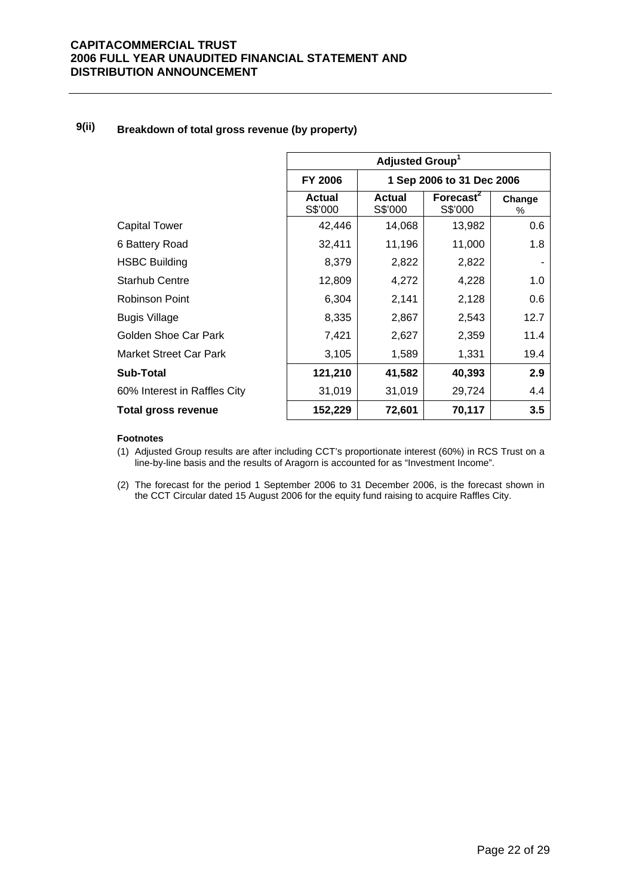# **9(ii) Breakdown of total gross revenue (by property)**

|                               | Adjusted Group <sup>1</sup>                 |                          |                                  |             |
|-------------------------------|---------------------------------------------|--------------------------|----------------------------------|-------------|
|                               | <b>FY 2006</b><br>1 Sep 2006 to 31 Dec 2006 |                          |                                  |             |
|                               | Actual<br>S\$'000                           | <b>Actual</b><br>S\$'000 | Forecast <sup>2</sup><br>S\$'000 | Change<br>% |
| Capital Tower                 | 42,446                                      | 14,068                   | 13,982                           | 0.6         |
| 6 Battery Road                | 32,411                                      | 11,196                   | 11,000                           | 1.8         |
| <b>HSBC Building</b>          | 8,379                                       | 2,822                    | 2,822                            |             |
| <b>Starhub Centre</b>         | 12,809                                      | 4,272                    | 4,228                            | 1.0         |
| Robinson Point                | 6,304                                       | 2,141                    | 2,128                            | 0.6         |
| Bugis Village                 | 8,335                                       | 2,867                    | 2,543                            | 12.7        |
| Golden Shoe Car Park          | 7,421                                       | 2,627                    | 2,359                            | 11.4        |
| <b>Market Street Car Park</b> | 3,105                                       | 1,589                    | 1,331                            | 19.4        |
| <b>Sub-Total</b>              | 121,210                                     | 41,582                   | 40,393                           | 2.9         |
| 60% Interest in Raffles City  | 31,019                                      | 31,019                   | 29,724                           | 4.4         |
| Total gross revenue           | 152,229                                     | 72,601                   | 70,117                           | 3.5         |

#### **Footnotes**

(1) Adjusted Group results are after including CCT's proportionate interest (60%) in RCS Trust on a line-by-line basis and the results of Aragorn is accounted for as "Investment Income".

(2) The forecast for the period 1 September 2006 to 31 December 2006, is the forecast shown in the CCT Circular dated 15 August 2006 for the equity fund raising to acquire Raffles City.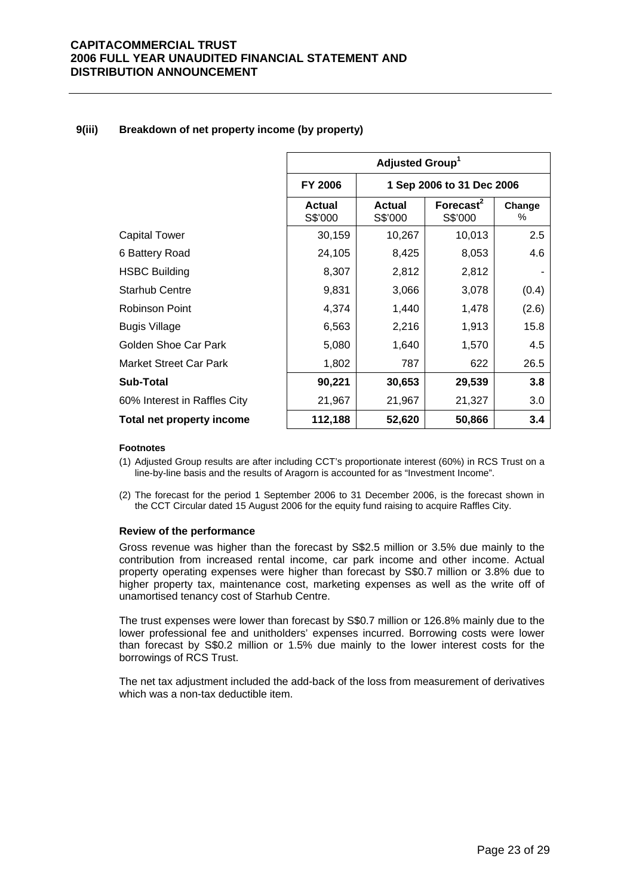## **9(iii) Breakdown of net property income (by property)**

|                              | Adjusted Group <sup>1</sup>                 |                          |                         |             |  |
|------------------------------|---------------------------------------------|--------------------------|-------------------------|-------------|--|
|                              | <b>FY 2006</b><br>1 Sep 2006 to 31 Dec 2006 |                          |                         |             |  |
|                              | <b>Actual</b><br>S\$'000                    | <b>Actual</b><br>S\$'000 | Forecast $2$<br>S\$'000 | Change<br>% |  |
| <b>Capital Tower</b>         | 30,159                                      | 10,267                   | 10,013                  | 2.5         |  |
| 6 Battery Road               | 24,105                                      | 8,425                    | 8,053                   | 4.6         |  |
| <b>HSBC Building</b>         | 8,307                                       | 2,812                    | 2,812                   |             |  |
| <b>Starhub Centre</b>        | 9,831                                       | 3,066                    | 3,078                   | (0.4)       |  |
| <b>Robinson Point</b>        | 4,374                                       | 1,440                    | 1,478                   | (2.6)       |  |
| <b>Bugis Village</b>         | 6,563                                       | 2,216                    | 1,913                   | 15.8        |  |
| Golden Shoe Car Park         | 5,080                                       | 1,640                    | 1,570                   | 4.5         |  |
| Market Street Car Park       | 1,802                                       | 787                      | 622                     | 26.5        |  |
| <b>Sub-Total</b>             | 90,221                                      | 30,653                   | 29,539                  | 3.8         |  |
| 60% Interest in Raffles City | 21,967                                      | 21,967                   | 21,327                  | 3.0         |  |
| Total net property income    | 112,188                                     | 52,620                   | 50,866                  | 3.4         |  |

#### **Footnotes**

- (1) Adjusted Group results are after including CCT's proportionate interest (60%) in RCS Trust on a line-by-line basis and the results of Aragorn is accounted for as "Investment Income".
- (2) The forecast for the period 1 September 2006 to 31 December 2006, is the forecast shown in the CCT Circular dated 15 August 2006 for the equity fund raising to acquire Raffles City.

#### **Review of the performance**

Gross revenue was higher than the forecast by S\$2.5 million or 3.5% due mainly to the contribution from increased rental income, car park income and other income. Actual property operating expenses were higher than forecast by S\$0.7 million or 3.8% due to higher property tax, maintenance cost, marketing expenses as well as the write off of unamortised tenancy cost of Starhub Centre.

The trust expenses were lower than forecast by S\$0.7 million or 126.8% mainly due to the lower professional fee and unitholders' expenses incurred. Borrowing costs were lower than forecast by S\$0.2 million or 1.5% due mainly to the lower interest costs for the borrowings of RCS Trust.

The net tax adjustment included the add-back of the loss from measurement of derivatives which was a non-tax deductible item.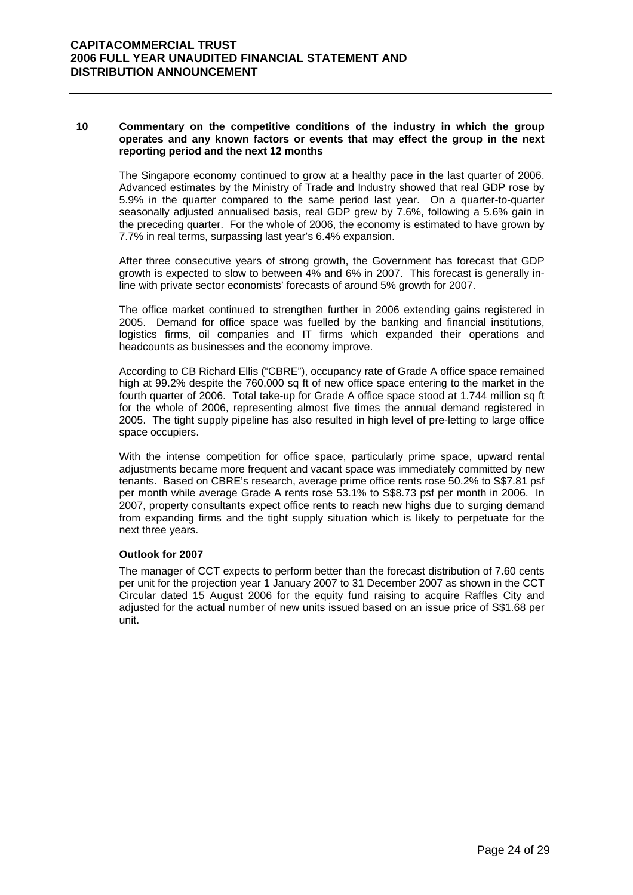#### **10 Commentary on the competitive conditions of the industry in which the group operates and any known factors or events that may effect the group in the next reporting period and the next 12 months**

The Singapore economy continued to grow at a healthy pace in the last quarter of 2006. Advanced estimates by the Ministry of Trade and Industry showed that real GDP rose by 5.9% in the quarter compared to the same period last year. On a quarter-to-quarter seasonally adjusted annualised basis, real GDP grew by 7.6%, following a 5.6% gain in the preceding quarter. For the whole of 2006, the economy is estimated to have grown by 7.7% in real terms, surpassing last year's 6.4% expansion.

After three consecutive years of strong growth, the Government has forecast that GDP growth is expected to slow to between 4% and 6% in 2007. This forecast is generally inline with private sector economists' forecasts of around 5% growth for 2007.

The office market continued to strengthen further in 2006 extending gains registered in 2005. Demand for office space was fuelled by the banking and financial institutions, logistics firms, oil companies and IT firms which expanded their operations and headcounts as businesses and the economy improve.

According to CB Richard Ellis ("CBRE"), occupancy rate of Grade A office space remained high at 99.2% despite the 760,000 sq ft of new office space entering to the market in the fourth quarter of 2006. Total take-up for Grade A office space stood at 1.744 million sq ft for the whole of 2006, representing almost five times the annual demand registered in 2005. The tight supply pipeline has also resulted in high level of pre-letting to large office space occupiers.

With the intense competition for office space, particularly prime space, upward rental adjustments became more frequent and vacant space was immediately committed by new tenants. Based on CBRE's research, average prime office rents rose 50.2% to S\$7.81 psf per month while average Grade A rents rose 53.1% to S\$8.73 psf per month in 2006. In 2007, property consultants expect office rents to reach new highs due to surging demand from expanding firms and the tight supply situation which is likely to perpetuate for the next three years.

#### **Outlook for 2007**

The manager of CCT expects to perform better than the forecast distribution of 7.60 cents per unit for the projection year 1 January 2007 to 31 December 2007 as shown in the CCT Circular dated 15 August 2006 for the equity fund raising to acquire Raffles City and adjusted for the actual number of new units issued based on an issue price of S\$1.68 per unit.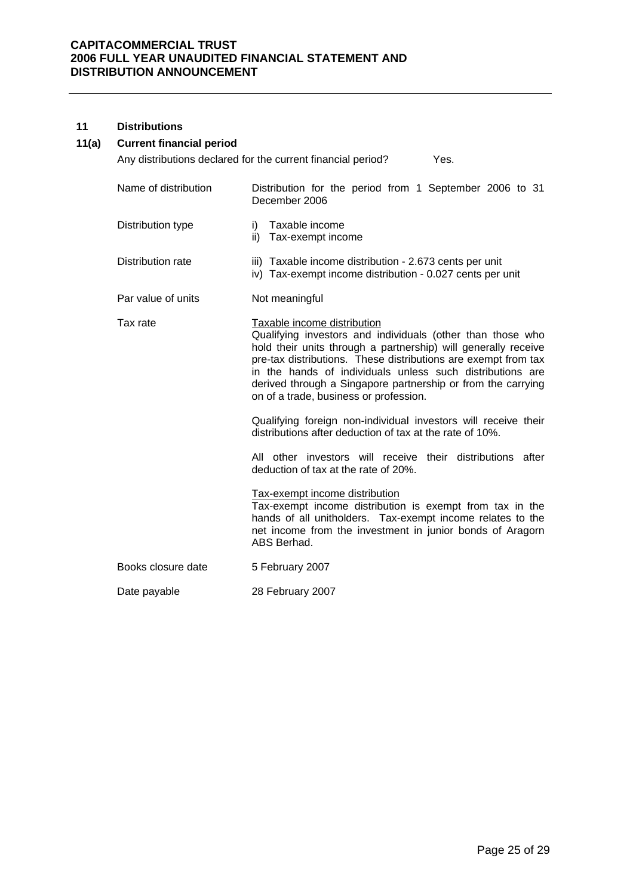#### **11 Distributions**

# **11(a) Current financial period**

Any distributions declared for the current financial period? Yes.

| Name of distribution | Distribution for the period from 1 September 2006 to 31<br>December 2006                                                                                                                                                                                                                                                                                                                                                                                                                                                                                                                                                                                                                                                                                                                                                                                                         |
|----------------------|----------------------------------------------------------------------------------------------------------------------------------------------------------------------------------------------------------------------------------------------------------------------------------------------------------------------------------------------------------------------------------------------------------------------------------------------------------------------------------------------------------------------------------------------------------------------------------------------------------------------------------------------------------------------------------------------------------------------------------------------------------------------------------------------------------------------------------------------------------------------------------|
| Distribution type    | Taxable income<br>i)<br>ii) Tax-exempt income                                                                                                                                                                                                                                                                                                                                                                                                                                                                                                                                                                                                                                                                                                                                                                                                                                    |
| Distribution rate    | iii) Taxable income distribution - 2.673 cents per unit<br>iv) Tax-exempt income distribution - 0.027 cents per unit                                                                                                                                                                                                                                                                                                                                                                                                                                                                                                                                                                                                                                                                                                                                                             |
| Par value of units   | Not meaningful                                                                                                                                                                                                                                                                                                                                                                                                                                                                                                                                                                                                                                                                                                                                                                                                                                                                   |
| Tax rate             | Taxable income distribution<br>Qualifying investors and individuals (other than those who<br>hold their units through a partnership) will generally receive<br>pre-tax distributions. These distributions are exempt from tax<br>in the hands of individuals unless such distributions are<br>derived through a Singapore partnership or from the carrying<br>on of a trade, business or profession.<br>Qualifying foreign non-individual investors will receive their<br>distributions after deduction of tax at the rate of 10%.<br>All other investors will receive their distributions after<br>deduction of tax at the rate of 20%.<br>Tax-exempt income distribution<br>Tax-exempt income distribution is exempt from tax in the<br>hands of all unitholders. Tax-exempt income relates to the<br>net income from the investment in junior bonds of Aragorn<br>ABS Berhad. |
| Books closure date   | 5 February 2007                                                                                                                                                                                                                                                                                                                                                                                                                                                                                                                                                                                                                                                                                                                                                                                                                                                                  |
| Date payable         | 28 February 2007                                                                                                                                                                                                                                                                                                                                                                                                                                                                                                                                                                                                                                                                                                                                                                                                                                                                 |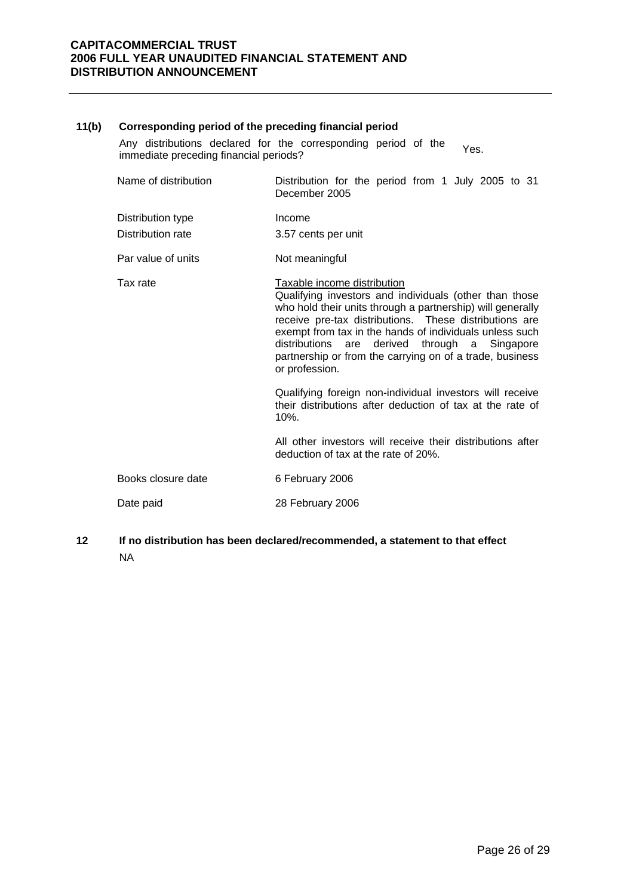#### **11(b) Corresponding period of the preceding financial period**

Any distributions declared for the corresponding period of the Any distributions declared for the corresponding period of the Yes.<br>immediate preceding financial periods?

| Name of distribution | Distribution for the period from 1 July 2005 to 31<br>December 2005                                                                                                                                                                                                                                                                                                                                           |  |  |  |  |
|----------------------|---------------------------------------------------------------------------------------------------------------------------------------------------------------------------------------------------------------------------------------------------------------------------------------------------------------------------------------------------------------------------------------------------------------|--|--|--|--|
| Distribution type    | Income                                                                                                                                                                                                                                                                                                                                                                                                        |  |  |  |  |
| Distribution rate    | 3.57 cents per unit                                                                                                                                                                                                                                                                                                                                                                                           |  |  |  |  |
| Par value of units   | Not meaningful                                                                                                                                                                                                                                                                                                                                                                                                |  |  |  |  |
| Tax rate             | Taxable income distribution<br>Qualifying investors and individuals (other than those<br>who hold their units through a partnership) will generally<br>receive pre-tax distributions. These distributions are<br>exempt from tax in the hands of individuals unless such<br>distributions<br>derived through a Singapore<br>are<br>partnership or from the carrying on of a trade, business<br>or profession. |  |  |  |  |
|                      | Qualifying foreign non-individual investors will receive<br>their distributions after deduction of tax at the rate of<br>$10%$ .                                                                                                                                                                                                                                                                              |  |  |  |  |
|                      | All other investors will receive their distributions after<br>deduction of tax at the rate of 20%.                                                                                                                                                                                                                                                                                                            |  |  |  |  |
| Books closure date   | 6 February 2006                                                                                                                                                                                                                                                                                                                                                                                               |  |  |  |  |
| Date paid            | 28 February 2006                                                                                                                                                                                                                                                                                                                                                                                              |  |  |  |  |

**12 If no distribution has been declared/recommended, a statement to that effect**  NA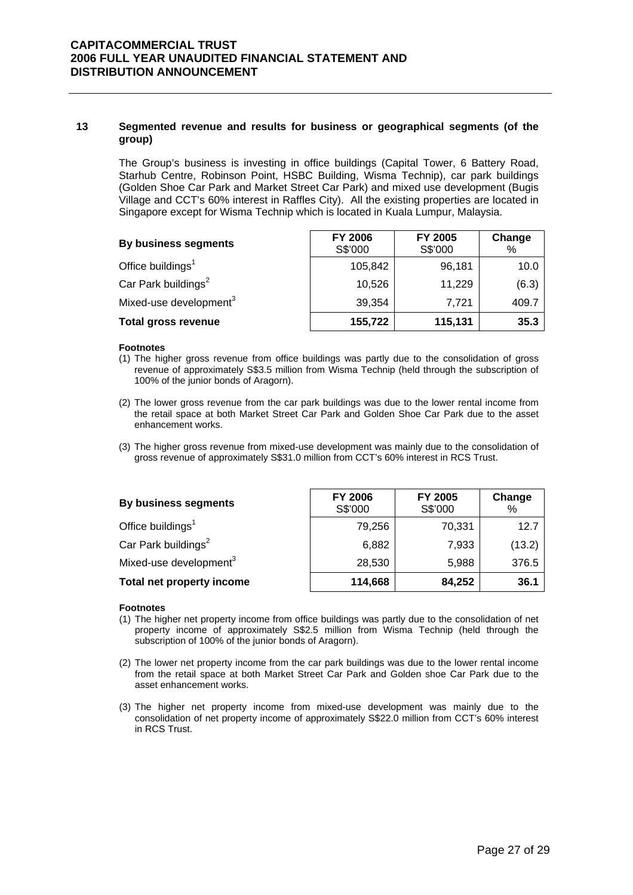#### **13 Segmented revenue and results for business or geographical segments (of the group)**

The Group's business is investing in office buildings (Capital Tower, 6 Battery Road, Starhub Centre, Robinson Point, HSBC Building, Wisma Technip), car park buildings (Golden Shoe Car Park and Market Street Car Park) and mixed use development (Bugis Village and CCT's 60% interest in Raffles City). All the existing properties are located in Singapore except for Wisma Technip which is located in Kuala Lumpur, Malaysia.

| By business segments               | <b>FY 2006</b><br>S\$'000 | FY 2005<br>S\$'000 | Change<br>% |
|------------------------------------|---------------------------|--------------------|-------------|
| Office buildings <sup>1</sup>      | 105,842                   | 96,181             | 10.0        |
| Car Park buildings <sup>2</sup>    | 10,526                    | 11,229             | (6.3)       |
| Mixed-use development <sup>3</sup> | 39,354                    | 7,721              | 409.7       |
| <b>Total gross revenue</b>         | 155,722                   | 115,131            | 35.3        |

#### **Footnotes**

- (1) The higher gross revenue from office buildings was partly due to the consolidation of gross revenue of approximately S\$3.5 million from Wisma Technip (held through the subscription of 100% of the junior bonds of Aragorn).
- (2) The lower gross revenue from the car park buildings was due to the lower rental income from the retail space at both Market Street Car Park and Golden Shoe Car Park due to the asset enhancement works.
- (3) The higher gross revenue from mixed-use development was mainly due to the consolidation of gross revenue of approximately S\$31.0 million from CCT's 60% interest in RCS Trust.

| By business segments               | FY 2006<br>S\$'000 | FY 2005<br>S\$'000 | Change<br>% |
|------------------------------------|--------------------|--------------------|-------------|
| Office buildings <sup>1</sup>      | 79,256             | 70,331             | 12.7        |
| Car Park buildings <sup>2</sup>    | 6,882              | 7,933              | (13.2)      |
| Mixed-use development <sup>3</sup> | 28,530             | 5,988              | 376.5       |
| Total net property income          | 114,668            | 84,252             | 36.1        |

#### **Footnotes**

- (1) The higher net property income from office buildings was partly due to the consolidation of net property income of approximately S\$2.5 million from Wisma Technip (held through the subscription of 100% of the junior bonds of Aragorn).
- (2) The lower net property income from the car park buildings was due to the lower rental income from the retail space at both Market Street Car Park and Golden shoe Car Park due to the asset enhancement works.
- (3) The higher net property income from mixed-use development was mainly due to the consolidation of net property income of approximately S\$22.0 million from CCT's 60% interest in RCS Trust.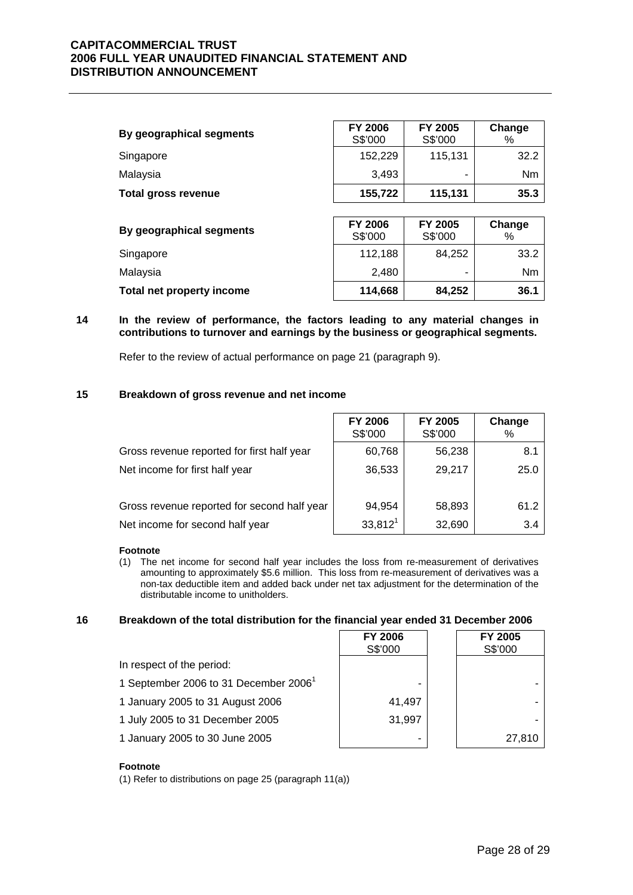| By geographical segments   | <b>FY 2006</b><br>S\$'000 | FY 2005<br>S\$'000 | Change<br>% |
|----------------------------|---------------------------|--------------------|-------------|
| Singapore                  | 152,229                   | 115,131            | 32.2        |
| Malaysia                   | 3,493                     |                    | Nm          |
| <b>Total gross revenue</b> | 155,722                   | 115,131            | 35.3        |
|                            |                           |                    |             |
| By geographical segments   | <b>FY 2006</b><br>S\$'000 | FY 2005<br>S\$'000 | Change<br>% |
| Singapore                  | 112,188                   | 84,252             | 33.2        |
| Malaysia                   | 2,480                     |                    | Nm          |
| Total net property income  | 114,668                   | 84,252             | 36.1        |

#### **14 In the review of performance, the factors leading to any material changes in contributions to turnover and earnings by the business or geographical segments.**

Refer to the review of actual performance on page 21 (paragraph 9).

#### **15 Breakdown of gross revenue and net income**

|                                             | <b>FY 2006</b><br>S\$'000 | FY 2005<br>S\$'000 | Change<br>% |
|---------------------------------------------|---------------------------|--------------------|-------------|
| Gross revenue reported for first half year  | 60,768                    | 56,238             | 8.1         |
| Net income for first half year              | 36,533                    | 29,217             | 25.0        |
| Gross revenue reported for second half year | 94,954                    | 58,893             | 61.2        |
| Net income for second half year             | $33,812^1$                | 32,690             | 3.4         |

#### **Footnote**

(1) The net income for second half year includes the loss from re-measurement of derivatives amounting to approximately \$5.6 million. This loss from re-measurement of derivatives was a non-tax deductible item and added back under net tax adjustment for the determination of the distributable income to unitholders.

#### **16 Breakdown of the total distribution for the financial year ended 31 December 2006**

|                                                   | <b>FY 2006</b><br>S\$'000 | FY 2005<br>S\$'000 |
|---------------------------------------------------|---------------------------|--------------------|
| In respect of the period:                         |                           |                    |
| 1 September 2006 to 31 December 2006 <sup>1</sup> |                           |                    |
| 1 January 2005 to 31 August 2006                  | 41.497                    |                    |
| 1 July 2005 to 31 December 2005                   | 31,997                    |                    |
| 1 January 2005 to 30 June 2005                    | -                         | 27.810             |

#### **Footnote**

(1) Refer to distributions on page 25 (paragraph 11(a))